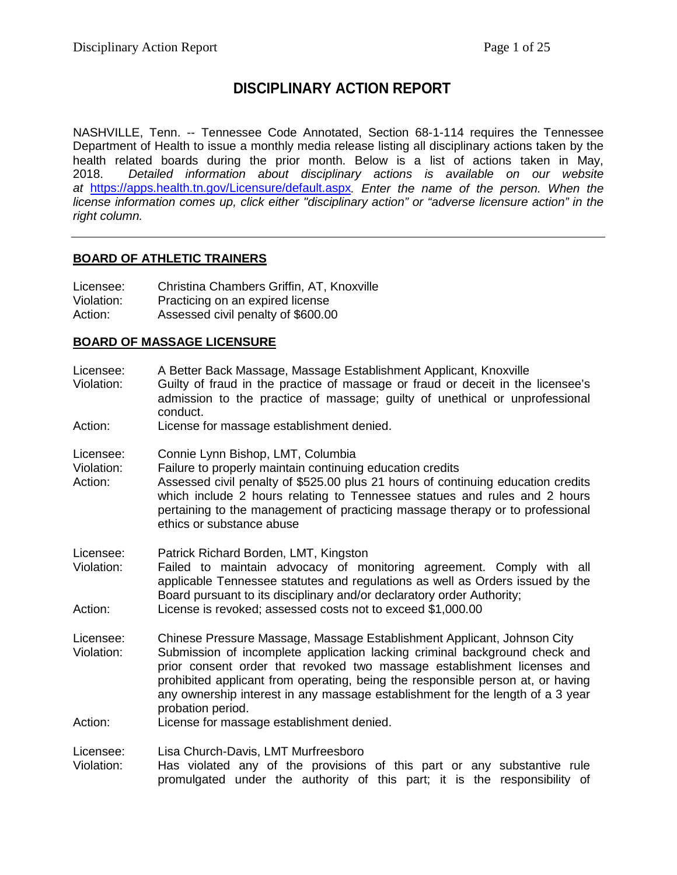# **DISCIPLINARY ACTION REPORT**

NASHVILLE, Tenn. -- Tennessee Code Annotated, Section 68-1-114 requires the Tennessee Department of Health to issue a monthly media release listing all disciplinary actions taken by the health related boards during the prior month. Below is a list of actions taken in May, 2018. *Detailed information about disciplinary actions is available on our website at* <https://apps.health.tn.gov/Licensure/default.aspx>*. Enter the name of the person. When the license information comes up, click either "disciplinary action" or "adverse licensure action" in the right column.*

# **BOARD OF ATHLETIC TRAINERS**

| Licensee:  | Christina Chambers Griffin, AT, Knoxville |
|------------|-------------------------------------------|
| Violation: | Practicing on an expired license          |
| Action:    | Assessed civil penalty of \$600.00        |

# **BOARD OF MASSAGE LICENSURE**

Licensee: A Better Back Massage, Massage Establishment Applicant, Knoxville<br>Violation: Guilty of fraud in the practice of massage or fraud or deceit in the

Guilty of fraud in the practice of massage or fraud or deceit in the licensee's admission to the practice of massage; guilty of unethical or unprofessional conduct.

Action: License for massage establishment denied.

- Licensee: Connie Lynn Bishop, LMT, Columbia
- Violation: Failure to properly maintain continuing education credits
- Action: Assessed civil penalty of \$525.00 plus 21 hours of continuing education credits which include 2 hours relating to Tennessee statues and rules and 2 hours pertaining to the management of practicing massage therapy or to professional ethics or substance abuse
- Licensee: Patrick Richard Borden, LMT, Kingston
- Violation: Failed to maintain advocacy of monitoring agreement. Comply with all applicable Tennessee statutes and regulations as well as Orders issued by the Board pursuant to its disciplinary and/or declaratory order Authority; Action: License is revoked; assessed costs not to exceed \$1,000.00
- Licensee: Chinese Pressure Massage, Massage Establishment Applicant, Johnson City<br>Violation: Submission of incomplete application lacking criminal background check a Submission of incomplete application lacking criminal background check and prior consent order that revoked two massage establishment licenses and prohibited applicant from operating, being the responsible person at, or having any ownership interest in any massage establishment for the length of a 3 year probation period.
- Action: License for massage establishment denied.

Licensee: Lisa Church-Davis, LMT Murfreesboro

Violation: Has violated any of the provisions of this part or any substantive rule promulgated under the authority of this part; it is the responsibility of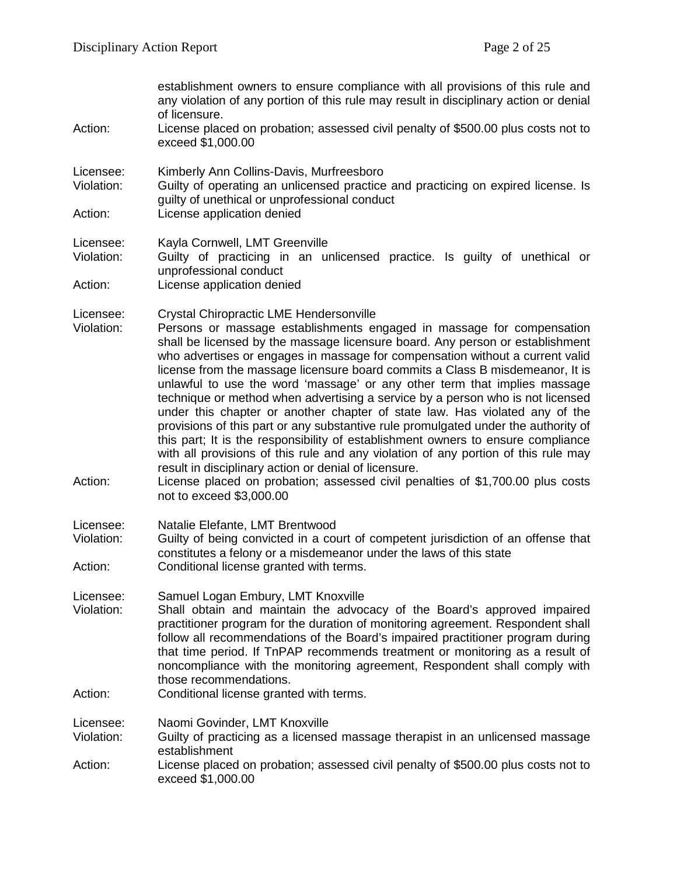| Action:                            | establishment owners to ensure compliance with all provisions of this rule and<br>any violation of any portion of this rule may result in disciplinary action or denial<br>of licensure.<br>License placed on probation; assessed civil penalty of \$500.00 plus costs not to<br>exceed \$1,000.00                                                                                                                                                                                                                                                                                                                                                                                                                                                                                                                                                                                                                                                                                                                                  |
|------------------------------------|-------------------------------------------------------------------------------------------------------------------------------------------------------------------------------------------------------------------------------------------------------------------------------------------------------------------------------------------------------------------------------------------------------------------------------------------------------------------------------------------------------------------------------------------------------------------------------------------------------------------------------------------------------------------------------------------------------------------------------------------------------------------------------------------------------------------------------------------------------------------------------------------------------------------------------------------------------------------------------------------------------------------------------------|
| Licensee:<br>Violation:            | Kimberly Ann Collins-Davis, Murfreesboro<br>Guilty of operating an unlicensed practice and practicing on expired license. Is<br>guilty of unethical or unprofessional conduct                                                                                                                                                                                                                                                                                                                                                                                                                                                                                                                                                                                                                                                                                                                                                                                                                                                       |
| Action:                            | License application denied                                                                                                                                                                                                                                                                                                                                                                                                                                                                                                                                                                                                                                                                                                                                                                                                                                                                                                                                                                                                          |
| Licensee:<br>Violation:            | Kayla Cornwell, LMT Greenville<br>Guilty of practicing in an unlicensed practice. Is guilty of unethical or<br>unprofessional conduct                                                                                                                                                                                                                                                                                                                                                                                                                                                                                                                                                                                                                                                                                                                                                                                                                                                                                               |
| Action:                            | License application denied                                                                                                                                                                                                                                                                                                                                                                                                                                                                                                                                                                                                                                                                                                                                                                                                                                                                                                                                                                                                          |
| Licensee:<br>Violation:<br>Action: | <b>Crystal Chiropractic LME Hendersonville</b><br>Persons or massage establishments engaged in massage for compensation<br>shall be licensed by the massage licensure board. Any person or establishment<br>who advertises or engages in massage for compensation without a current valid<br>license from the massage licensure board commits a Class B misdemeanor, It is<br>unlawful to use the word 'massage' or any other term that implies massage<br>technique or method when advertising a service by a person who is not licensed<br>under this chapter or another chapter of state law. Has violated any of the<br>provisions of this part or any substantive rule promulgated under the authority of<br>this part; It is the responsibility of establishment owners to ensure compliance<br>with all provisions of this rule and any violation of any portion of this rule may<br>result in disciplinary action or denial of licensure.<br>License placed on probation; assessed civil penalties of \$1,700.00 plus costs |
|                                    | not to exceed \$3,000.00                                                                                                                                                                                                                                                                                                                                                                                                                                                                                                                                                                                                                                                                                                                                                                                                                                                                                                                                                                                                            |
| Licensee:<br>Violation:            | Natalie Elefante, LMT Brentwood<br>Guilty of being convicted in a court of competent jurisdiction of an offense that<br>constitutes a felony or a misdemeanor under the laws of this state                                                                                                                                                                                                                                                                                                                                                                                                                                                                                                                                                                                                                                                                                                                                                                                                                                          |
| Action:                            | Conditional license granted with terms.                                                                                                                                                                                                                                                                                                                                                                                                                                                                                                                                                                                                                                                                                                                                                                                                                                                                                                                                                                                             |
| Licensee:<br>Violation:            | Samuel Logan Embury, LMT Knoxville<br>Shall obtain and maintain the advocacy of the Board's approved impaired<br>practitioner program for the duration of monitoring agreement. Respondent shall<br>follow all recommendations of the Board's impaired practitioner program during<br>that time period. If TnPAP recommends treatment or monitoring as a result of<br>noncompliance with the monitoring agreement, Respondent shall comply with<br>those recommendations.                                                                                                                                                                                                                                                                                                                                                                                                                                                                                                                                                           |
| Action:                            | Conditional license granted with terms.                                                                                                                                                                                                                                                                                                                                                                                                                                                                                                                                                                                                                                                                                                                                                                                                                                                                                                                                                                                             |
| Licensee:<br>Violation:            | Naomi Govinder, LMT Knoxville<br>Guilty of practicing as a licensed massage therapist in an unlicensed massage<br>establishment                                                                                                                                                                                                                                                                                                                                                                                                                                                                                                                                                                                                                                                                                                                                                                                                                                                                                                     |
| Action:                            | License placed on probation; assessed civil penalty of \$500.00 plus costs not to<br>exceed \$1,000.00                                                                                                                                                                                                                                                                                                                                                                                                                                                                                                                                                                                                                                                                                                                                                                                                                                                                                                                              |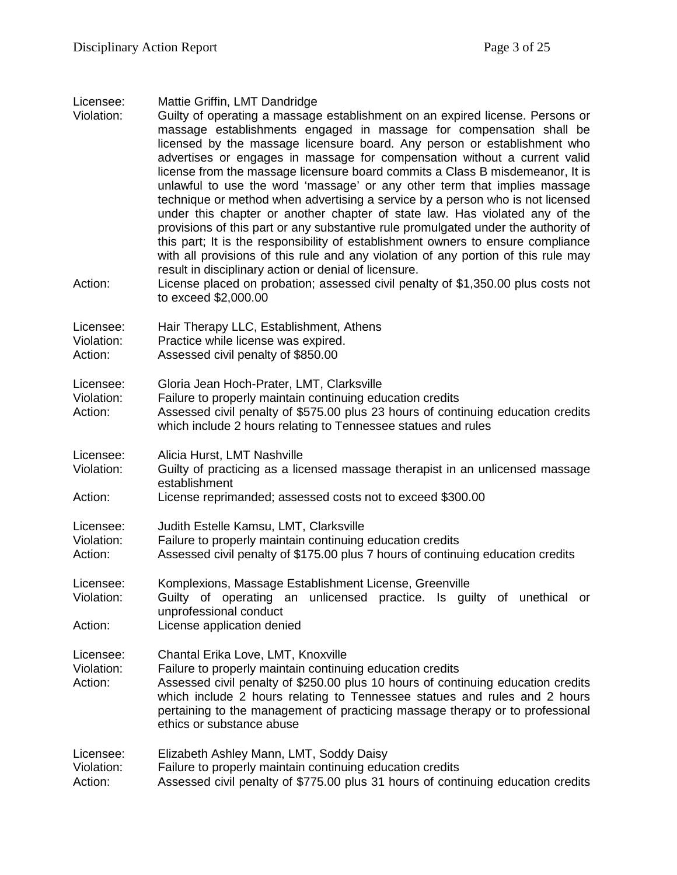| Licensee: |  |  |  | Mattie Griffin, LMT Dandridge |
|-----------|--|--|--|-------------------------------|
|-----------|--|--|--|-------------------------------|

- Violation: Guilty of operating a massage establishment on an expired license. Persons or massage establishments engaged in massage for compensation shall be licensed by the massage licensure board. Any person or establishment who advertises or engages in massage for compensation without a current valid license from the massage licensure board commits a Class B misdemeanor, It is unlawful to use the word 'massage' or any other term that implies massage technique or method when advertising a service by a person who is not licensed under this chapter or another chapter of state law. Has violated any of the provisions of this part or any substantive rule promulgated under the authority of this part; It is the responsibility of establishment owners to ensure compliance with all provisions of this rule and any violation of any portion of this rule may result in disciplinary action or denial of licensure.
- Action: License placed on probation; assessed civil penalty of \$1,350.00 plus costs not to exceed \$2,000.00

| Licensee:  | Hair Therapy LLC, Establishment, Athens |
|------------|-----------------------------------------|
| Violation: | Practice while license was expired.     |
| Action:    | Assessed civil penalty of \$850.00      |

Licensee: Gloria Jean Hoch-Prater, LMT, Clarksville

Violation: Failure to properly maintain continuing education credits

Action: Assessed civil penalty of \$575.00 plus 23 hours of continuing education credits which include 2 hours relating to Tennessee statues and rules

- Licensee: Alicia Hurst, LMT Nashville
- Violation: Guilty of practicing as a licensed massage therapist in an unlicensed massage establishment
- Action: License reprimanded; assessed costs not to exceed \$300.00
- Licensee: Judith Estelle Kamsu, LMT, Clarksville
- Violation: Failure to properly maintain continuing education credits
- Action: Assessed civil penalty of \$175.00 plus 7 hours of continuing education credits

Licensee: Komplexions, Massage Establishment License, Greenville Violation: Guilty of operating an unlicensed practice. Is guilty of unethical or unprofessional conduct Action: License application denied

Licensee: Chantal Erika Love, LMT, Knoxville

- Violation: Failure to properly maintain continuing education credits
- Action: Assessed civil penalty of \$250.00 plus 10 hours of continuing education credits which include 2 hours relating to Tennessee statues and rules and 2 hours pertaining to the management of practicing massage therapy or to professional ethics or substance abuse

| Licensee:  | Elizabeth Ashley Mann, LMT, Soddy Daisy                                          |
|------------|----------------------------------------------------------------------------------|
| Violation: | Failure to properly maintain continuing education credits                        |
| Action:    | Assessed civil penalty of \$775.00 plus 31 hours of continuing education credits |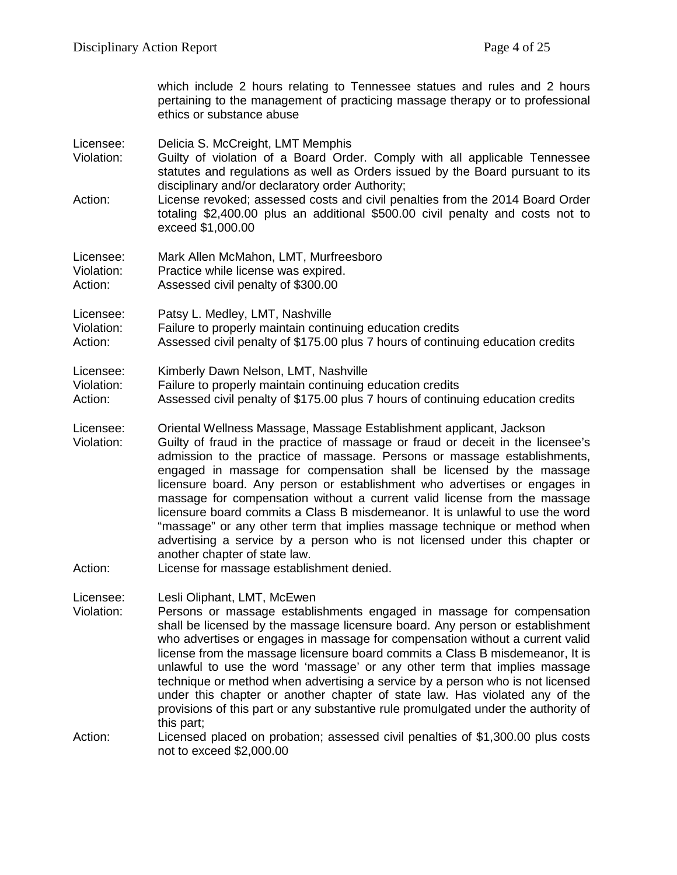which include 2 hours relating to Tennessee statues and rules and 2 hours pertaining to the management of practicing massage therapy or to professional ethics or substance abuse

Licensee: Delicia S. McCreight, LMT Memphis

- Violation: Guilty of violation of a Board Order. Comply with all applicable Tennessee statutes and regulations as well as Orders issued by the Board pursuant to its disciplinary and/or declaratory order Authority;
- Action: License revoked; assessed costs and civil penalties from the 2014 Board Order totaling \$2,400.00 plus an additional \$500.00 civil penalty and costs not to exceed \$1,000.00

Licensee: Mark Allen McMahon, LMT, Murfreesboro Violation: Practice while license was expired. Action: Assessed civil penalty of \$300.00

Licensee: Patsy L. Medley, LMT, Nashville

Violation: Failure to properly maintain continuing education credits

Action: Assessed civil penalty of \$175.00 plus 7 hours of continuing education credits

## Licensee: Kimberly Dawn Nelson, LMT, Nashville

- Violation: Failure to properly maintain continuing education credits
- Action: Assessed civil penalty of \$175.00 plus 7 hours of continuing education credits
- Licensee: Oriental Wellness Massage, Massage Establishment applicant, Jackson
- Violation: Guilty of fraud in the practice of massage or fraud or deceit in the licensee's admission to the practice of massage. Persons or massage establishments, engaged in massage for compensation shall be licensed by the massage licensure board. Any person or establishment who advertises or engages in massage for compensation without a current valid license from the massage licensure board commits a Class B misdemeanor. It is unlawful to use the word "massage" or any other term that implies massage technique or method when advertising a service by a person who is not licensed under this chapter or another chapter of state law.
- Action: License for massage establishment denied.

Licensee: Lesli Oliphant, LMT, McEwen

- Violation: Persons or massage establishments engaged in massage for compensation shall be licensed by the massage licensure board. Any person or establishment who advertises or engages in massage for compensation without a current valid license from the massage licensure board commits a Class B misdemeanor, It is unlawful to use the word 'massage' or any other term that implies massage technique or method when advertising a service by a person who is not licensed under this chapter or another chapter of state law. Has violated any of the provisions of this part or any substantive rule promulgated under the authority of this part;
- Action: Licensed placed on probation; assessed civil penalties of \$1,300.00 plus costs not to exceed \$2,000.00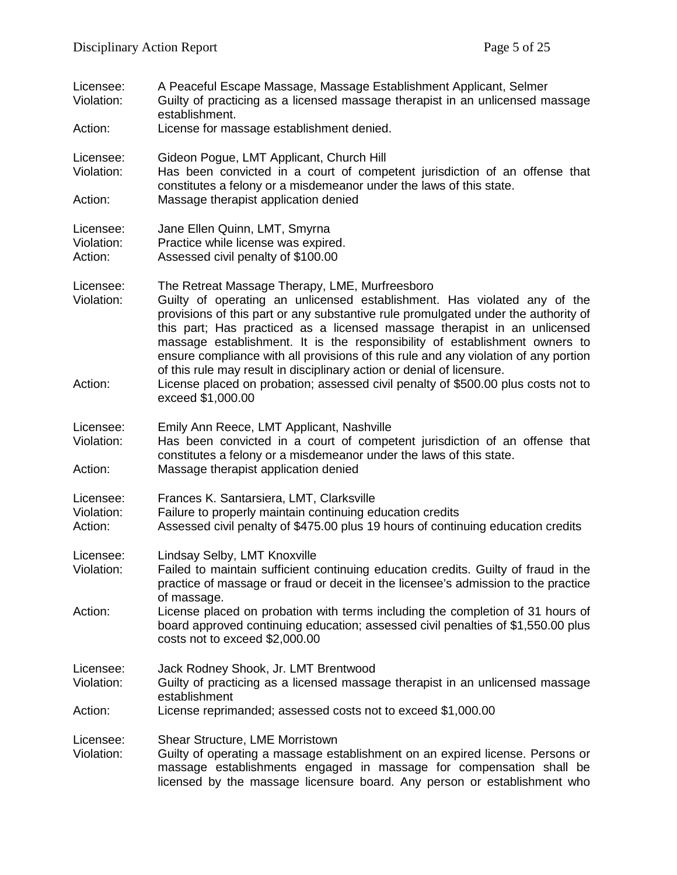| Licensee:<br>Violation:            | A Peaceful Escape Massage, Massage Establishment Applicant, Selmer<br>Guilty of practicing as a licensed massage therapist in an unlicensed massage<br>establishment.                                                                                                                                                                                                                                                                                                                                                                        |
|------------------------------------|----------------------------------------------------------------------------------------------------------------------------------------------------------------------------------------------------------------------------------------------------------------------------------------------------------------------------------------------------------------------------------------------------------------------------------------------------------------------------------------------------------------------------------------------|
| Action:                            | License for massage establishment denied.                                                                                                                                                                                                                                                                                                                                                                                                                                                                                                    |
| Licensee:<br>Violation:            | Gideon Pogue, LMT Applicant, Church Hill<br>Has been convicted in a court of competent jurisdiction of an offense that<br>constitutes a felony or a misdemeanor under the laws of this state.                                                                                                                                                                                                                                                                                                                                                |
| Action:                            | Massage therapist application denied                                                                                                                                                                                                                                                                                                                                                                                                                                                                                                         |
| Licensee:<br>Violation:<br>Action: | Jane Ellen Quinn, LMT, Smyrna<br>Practice while license was expired.<br>Assessed civil penalty of \$100.00                                                                                                                                                                                                                                                                                                                                                                                                                                   |
| Licensee:<br>Violation:            | The Retreat Massage Therapy, LME, Murfreesboro<br>Guilty of operating an unlicensed establishment. Has violated any of the<br>provisions of this part or any substantive rule promulgated under the authority of<br>this part; Has practiced as a licensed massage therapist in an unlicensed<br>massage establishment. It is the responsibility of establishment owners to<br>ensure compliance with all provisions of this rule and any violation of any portion<br>of this rule may result in disciplinary action or denial of licensure. |
| Action:                            | License placed on probation; assessed civil penalty of \$500.00 plus costs not to<br>exceed \$1,000.00                                                                                                                                                                                                                                                                                                                                                                                                                                       |
| Licensee:<br>Violation:            | Emily Ann Reece, LMT Applicant, Nashville<br>Has been convicted in a court of competent jurisdiction of an offense that<br>constitutes a felony or a misdemeanor under the laws of this state.                                                                                                                                                                                                                                                                                                                                               |
| Action:                            | Massage therapist application denied                                                                                                                                                                                                                                                                                                                                                                                                                                                                                                         |
| Licensee:<br>Violation:<br>Action: | Frances K. Santarsiera, LMT, Clarksville<br>Failure to properly maintain continuing education credits<br>Assessed civil penalty of \$475.00 plus 19 hours of continuing education credits                                                                                                                                                                                                                                                                                                                                                    |
| Licensee:<br>Violation:            | Lindsay Selby, LMT Knoxville<br>Failed to maintain sufficient continuing education credits. Guilty of fraud in the<br>practice of massage or fraud or deceit in the licensee's admission to the practice<br>of massage.                                                                                                                                                                                                                                                                                                                      |
| Action:                            | License placed on probation with terms including the completion of 31 hours of<br>board approved continuing education; assessed civil penalties of \$1,550.00 plus<br>costs not to exceed \$2,000.00                                                                                                                                                                                                                                                                                                                                         |
| Licensee:<br>Violation:            | Jack Rodney Shook, Jr. LMT Brentwood<br>Guilty of practicing as a licensed massage therapist in an unlicensed massage<br>establishment                                                                                                                                                                                                                                                                                                                                                                                                       |
| Action:                            | License reprimanded; assessed costs not to exceed \$1,000.00                                                                                                                                                                                                                                                                                                                                                                                                                                                                                 |
| Licensee:<br>Violation:            | Shear Structure, LME Morristown<br>Guilty of operating a massage establishment on an expired license. Persons or<br>massage establishments engaged in massage for compensation shall be<br>licensed by the massage licensure board. Any person or establishment who                                                                                                                                                                                                                                                                          |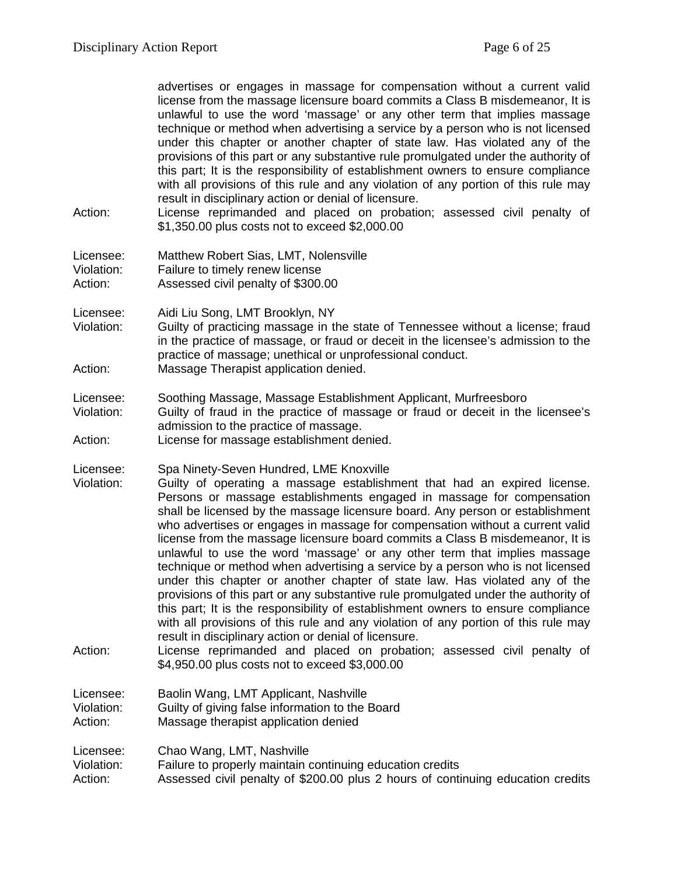advertises or engages in massage for compensation without a current valid license from the massage licensure board commits a Class B misdemeanor, It is unlawful to use the word 'massage' or any other term that implies massage technique or method when advertising a service by a person who is not licensed under this chapter or another chapter of state law. Has violated any of the provisions of this part or any substantive rule promulgated under the authority of this part; It is the responsibility of establishment owners to ensure compliance with all provisions of this rule and any violation of any portion of this rule may result in disciplinary action or denial of licensure.

Action: License reprimanded and placed on probation; assessed civil penalty of \$1,350.00 plus costs not to exceed \$2,000.00

| Licensee:  | Matthew Robert Sias, LMT, Nolensville |
|------------|---------------------------------------|
| Violation: | Failure to timely renew license       |
| Action:    | Assessed civil penalty of \$300.00    |

Licensee: Aidi Liu Song, LMT Brooklyn, NY

Violation: Guilty of practicing massage in the state of Tennessee without a license; fraud in the practice of massage, or fraud or deceit in the licensee's admission to the practice of massage; unethical or unprofessional conduct. Action: Massage Therapist application denied.

Licensee: Soothing Massage, Massage Establishment Applicant, Murfreesboro

Violation: Guilty of fraud in the practice of massage or fraud or deceit in the licensee's admission to the practice of massage.

Action: License for massage establishment denied.

Licensee: Spa Ninety-Seven Hundred, LME Knoxville

- Violation: Guilty of operating a massage establishment that had an expired license. Persons or massage establishments engaged in massage for compensation shall be licensed by the massage licensure board. Any person or establishment who advertises or engages in massage for compensation without a current valid license from the massage licensure board commits a Class B misdemeanor, It is unlawful to use the word 'massage' or any other term that implies massage technique or method when advertising a service by a person who is not licensed under this chapter or another chapter of state law. Has violated any of the provisions of this part or any substantive rule promulgated under the authority of this part; It is the responsibility of establishment owners to ensure compliance with all provisions of this rule and any violation of any portion of this rule may result in disciplinary action or denial of licensure.
- Action: License reprimanded and placed on probation; assessed civil penalty of \$4,950.00 plus costs not to exceed \$3,000.00

Licensee: Baolin Wang, LMT Applicant, Nashville Violation: Guilty of giving false information to the Board Action: Massage therapist application denied

Licensee: Chao Wang, LMT, Nashville<br>Violation: Failure to properly maintain o

Failure to properly maintain continuing education credits

Action: Assessed civil penalty of \$200.00 plus 2 hours of continuing education credits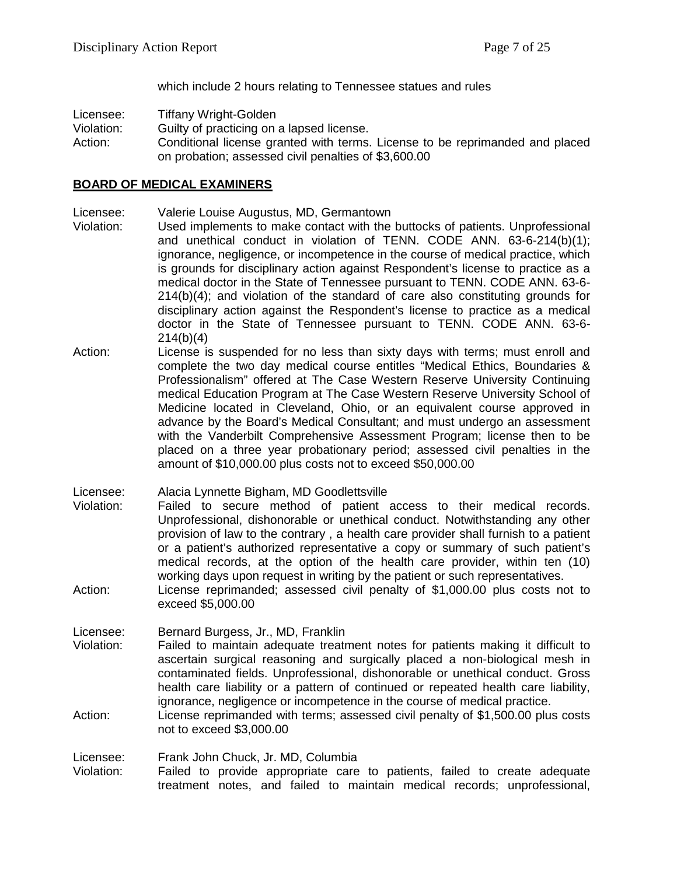which include 2 hours relating to Tennessee statues and rules

Licensee: Tiffany Wright-Golden

Violation: Guilty of practicing on a lapsed license.

Action: Conditional license granted with terms. License to be reprimanded and placed on probation; assessed civil penalties of \$3,600.00

# **BOARD OF MEDICAL EXAMINERS**

Licensee: Valerie Louise Augustus, MD, Germantown

- Violation: Used implements to make contact with the buttocks of patients. Unprofessional and unethical conduct in violation of TENN. CODE ANN. 63-6-214(b)(1); ignorance, negligence, or incompetence in the course of medical practice, which is grounds for disciplinary action against Respondent's license to practice as a medical doctor in the State of Tennessee pursuant to TENN. CODE ANN. 63-6- 214(b)(4); and violation of the standard of care also constituting grounds for disciplinary action against the Respondent's license to practice as a medical doctor in the State of Tennessee pursuant to TENN. CODE ANN. 63-6- 214(b)(4)
- Action: License is suspended for no less than sixty days with terms; must enroll and complete the two day medical course entitles "Medical Ethics, Boundaries & Professionalism" offered at The Case Western Reserve University Continuing medical Education Program at The Case Western Reserve University School of Medicine located in Cleveland, Ohio, or an equivalent course approved in advance by the Board's Medical Consultant; and must undergo an assessment with the Vanderbilt Comprehensive Assessment Program; license then to be placed on a three year probationary period; assessed civil penalties in the amount of \$10,000.00 plus costs not to exceed \$50,000.00

Licensee: Alacia Lynnette Bigham, MD Goodlettsville

- Violation: Failed to secure method of patient access to their medical records. Unprofessional, dishonorable or unethical conduct. Notwithstanding any other provision of law to the contrary , a health care provider shall furnish to a patient or a patient's authorized representative a copy or summary of such patient's medical records, at the option of the health care provider, within ten (10) working days upon request in writing by the patient or such representatives.
- Action: License reprimanded; assessed civil penalty of \$1,000.00 plus costs not to exceed \$5,000.00

Licensee: Bernard Burgess, Jr., MD, Franklin

- Violation: Failed to maintain adequate treatment notes for patients making it difficult to ascertain surgical reasoning and surgically placed a non-biological mesh in contaminated fields. Unprofessional, dishonorable or unethical conduct. Gross health care liability or a pattern of continued or repeated health care liability, ignorance, negligence or incompetence in the course of medical practice.
- Action: License reprimanded with terms; assessed civil penalty of \$1,500.00 plus costs not to exceed \$3,000.00

Licensee: Frank John Chuck, Jr. MD, Columbia

Violation: Failed to provide appropriate care to patients, failed to create adequate treatment notes, and failed to maintain medical records; unprofessional,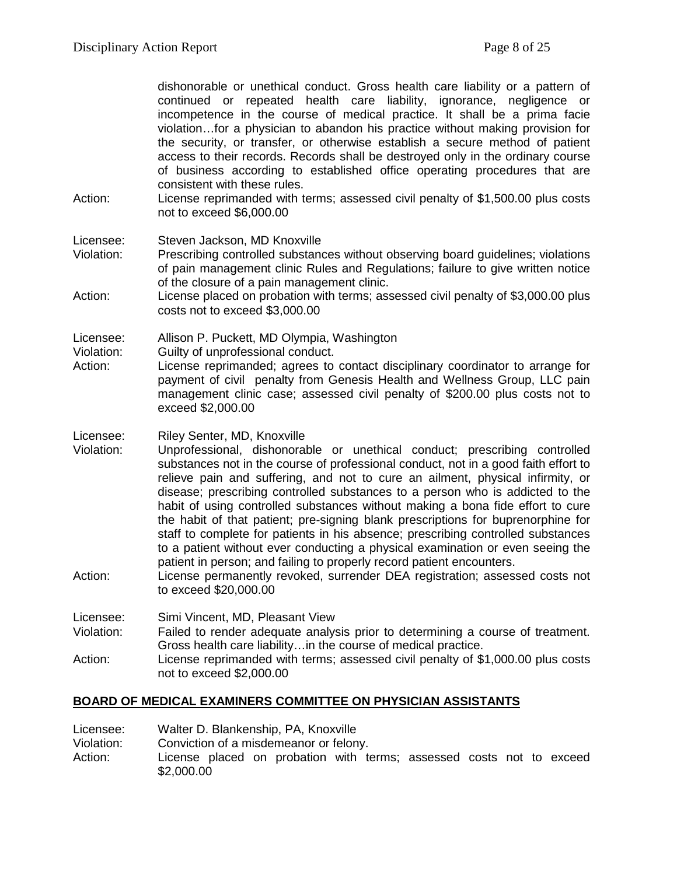dishonorable or unethical conduct. Gross health care liability or a pattern of continued or repeated health care liability, ignorance, negligence or incompetence in the course of medical practice. It shall be a prima facie violation…for a physician to abandon his practice without making provision for the security, or transfer, or otherwise establish a secure method of patient access to their records. Records shall be destroyed only in the ordinary course of business according to established office operating procedures that are consistent with these rules.

Action: License reprimanded with terms; assessed civil penalty of \$1,500.00 plus costs not to exceed \$6,000.00

Licensee: Steven Jackson, MD Knoxville

- Violation: Prescribing controlled substances without observing board guidelines; violations of pain management clinic Rules and Regulations; failure to give written notice of the closure of a pain management clinic.
- Action: License placed on probation with terms; assessed civil penalty of \$3,000.00 plus costs not to exceed \$3,000.00

Licensee: Allison P. Puckett, MD Olympia, Washington

- Violation: Guilty of unprofessional conduct.
- Action: License reprimanded; agrees to contact disciplinary coordinator to arrange for payment of civil penalty from Genesis Health and Wellness Group, LLC pain management clinic case; assessed civil penalty of \$200.00 plus costs not to exceed \$2,000.00
- Licensee: Riley Senter, MD, Knoxville
- Violation: Unprofessional, dishonorable or unethical conduct; prescribing controlled substances not in the course of professional conduct, not in a good faith effort to relieve pain and suffering, and not to cure an ailment, physical infirmity, or disease; prescribing controlled substances to a person who is addicted to the habit of using controlled substances without making a bona fide effort to cure the habit of that patient; pre-signing blank prescriptions for buprenorphine for staff to complete for patients in his absence; prescribing controlled substances to a patient without ever conducting a physical examination or even seeing the patient in person; and failing to properly record patient encounters.
- Action: License permanently revoked, surrender DEA registration; assessed costs not to exceed \$20,000.00

Licensee: Simi Vincent, MD, Pleasant View

- Violation: Failed to render adequate analysis prior to determining a course of treatment. Gross health care liability…in the course of medical practice.
- Action: License reprimanded with terms; assessed civil penalty of \$1,000.00 plus costs not to exceed \$2,000.00

## **BOARD OF MEDICAL EXAMINERS COMMITTEE ON PHYSICIAN ASSISTANTS**

- Licensee: Walter D. Blankenship, PA, Knoxville
- Violation: Conviction of a misdemeanor or felony.
- Action: License placed on probation with terms; assessed costs not to exceed \$2,000.00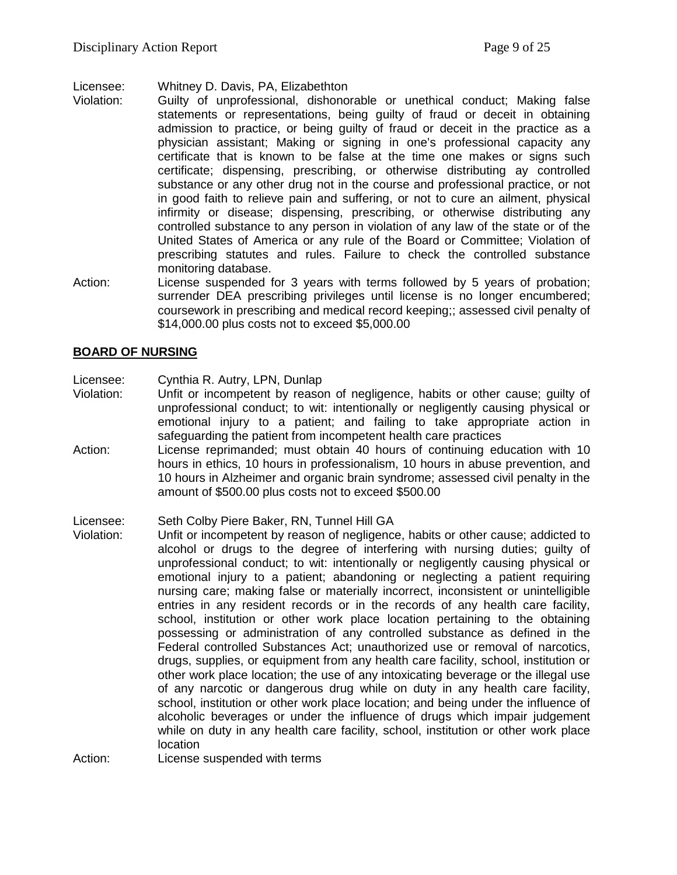Licensee: Whitney D. Davis, PA, Elizabethton

- Guilty of unprofessional, dishonorable or unethical conduct; Making false statements or representations, being guilty of fraud or deceit in obtaining admission to practice, or being guilty of fraud or deceit in the practice as a physician assistant; Making or signing in one's professional capacity any certificate that is known to be false at the time one makes or signs such certificate; dispensing, prescribing, or otherwise distributing ay controlled substance or any other drug not in the course and professional practice, or not in good faith to relieve pain and suffering, or not to cure an ailment, physical infirmity or disease; dispensing, prescribing, or otherwise distributing any controlled substance to any person in violation of any law of the state or of the United States of America or any rule of the Board or Committee; Violation of prescribing statutes and rules. Failure to check the controlled substance monitoring database.
- Action: License suspended for 3 years with terms followed by 5 years of probation; surrender DEA prescribing privileges until license is no longer encumbered; coursework in prescribing and medical record keeping;; assessed civil penalty of \$14,000.00 plus costs not to exceed \$5,000.00

# **BOARD OF NURSING**

Licensee: Cynthia R. Autry, LPN, Dunlap

- Violation: Unfit or incompetent by reason of negligence, habits or other cause; guilty of unprofessional conduct; to wit: intentionally or negligently causing physical or emotional injury to a patient; and failing to take appropriate action in safeguarding the patient from incompetent health care practices
- Action: License reprimanded; must obtain 40 hours of continuing education with 10 hours in ethics, 10 hours in professionalism, 10 hours in abuse prevention, and 10 hours in Alzheimer and organic brain syndrome; assessed civil penalty in the amount of \$500.00 plus costs not to exceed \$500.00

Licensee: Seth Colby Piere Baker, RN, Tunnel Hill GA

- Violation: Unfit or incompetent by reason of negligence, habits or other cause; addicted to alcohol or drugs to the degree of interfering with nursing duties; guilty of unprofessional conduct; to wit: intentionally or negligently causing physical or emotional injury to a patient; abandoning or neglecting a patient requiring nursing care; making false or materially incorrect, inconsistent or unintelligible entries in any resident records or in the records of any health care facility, school, institution or other work place location pertaining to the obtaining possessing or administration of any controlled substance as defined in the Federal controlled Substances Act; unauthorized use or removal of narcotics, drugs, supplies, or equipment from any health care facility, school, institution or other work place location; the use of any intoxicating beverage or the illegal use of any narcotic or dangerous drug while on duty in any health care facility, school, institution or other work place location; and being under the influence of alcoholic beverages or under the influence of drugs which impair judgement while on duty in any health care facility, school, institution or other work place location
- Action: License suspended with terms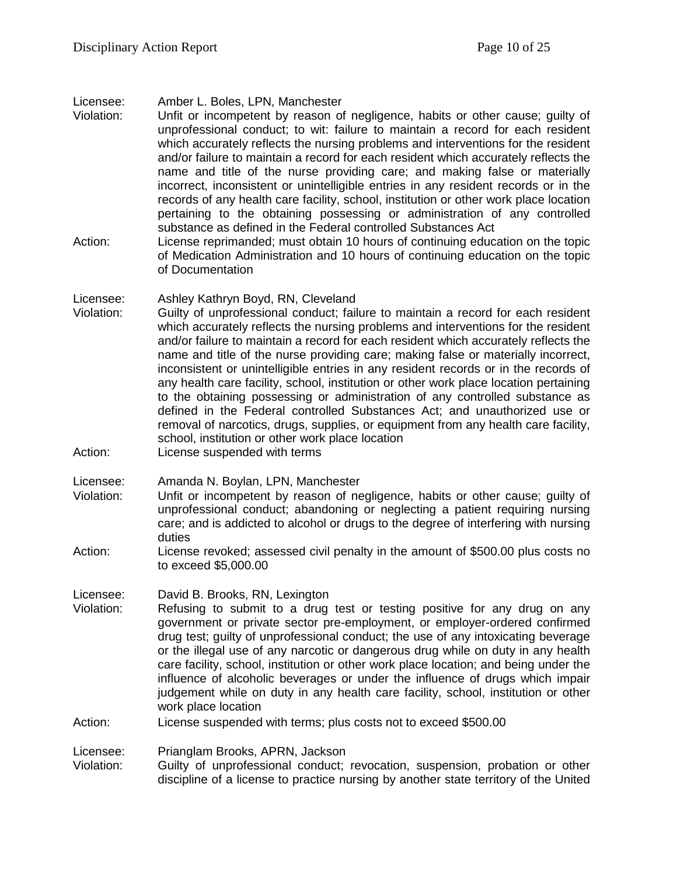#### Licensee: Amber L. Boles, LPN, Manchester

- Violation: Unfit or incompetent by reason of negligence, habits or other cause; guilty of unprofessional conduct; to wit: failure to maintain a record for each resident which accurately reflects the nursing problems and interventions for the resident and/or failure to maintain a record for each resident which accurately reflects the name and title of the nurse providing care; and making false or materially incorrect, inconsistent or unintelligible entries in any resident records or in the records of any health care facility, school, institution or other work place location pertaining to the obtaining possessing or administration of any controlled substance as defined in the Federal controlled Substances Act
- Action: License reprimanded; must obtain 10 hours of continuing education on the topic of Medication Administration and 10 hours of continuing education on the topic of Documentation

#### Licensee: Ashley Kathryn Boyd, RN, Cleveland

- Violation: Guilty of unprofessional conduct; failure to maintain a record for each resident which accurately reflects the nursing problems and interventions for the resident and/or failure to maintain a record for each resident which accurately reflects the name and title of the nurse providing care; making false or materially incorrect, inconsistent or unintelligible entries in any resident records or in the records of any health care facility, school, institution or other work place location pertaining to the obtaining possessing or administration of any controlled substance as defined in the Federal controlled Substances Act; and unauthorized use or removal of narcotics, drugs, supplies, or equipment from any health care facility, school, institution or other work place location
- Action: License suspended with terms

Licensee: Amanda N. Boylan, LPN, Manchester

- Violation: Unfit or incompetent by reason of negligence, habits or other cause; guilty of unprofessional conduct; abandoning or neglecting a patient requiring nursing care; and is addicted to alcohol or drugs to the degree of interfering with nursing duties
- Action: License revoked; assessed civil penalty in the amount of \$500.00 plus costs no to exceed \$5,000.00

Licensee: David B. Brooks, RN, Lexington

Violation: Refusing to submit to a drug test or testing positive for any drug on any government or private sector pre-employment, or employer-ordered confirmed drug test; guilty of unprofessional conduct; the use of any intoxicating beverage or the illegal use of any narcotic or dangerous drug while on duty in any health care facility, school, institution or other work place location; and being under the influence of alcoholic beverages or under the influence of drugs which impair judgement while on duty in any health care facility, school, institution or other work place location

#### Action: License suspended with terms; plus costs not to exceed \$500.00

Licensee: Prianglam Brooks, APRN, Jackson

Violation: Guilty of unprofessional conduct; revocation, suspension, probation or other discipline of a license to practice nursing by another state territory of the United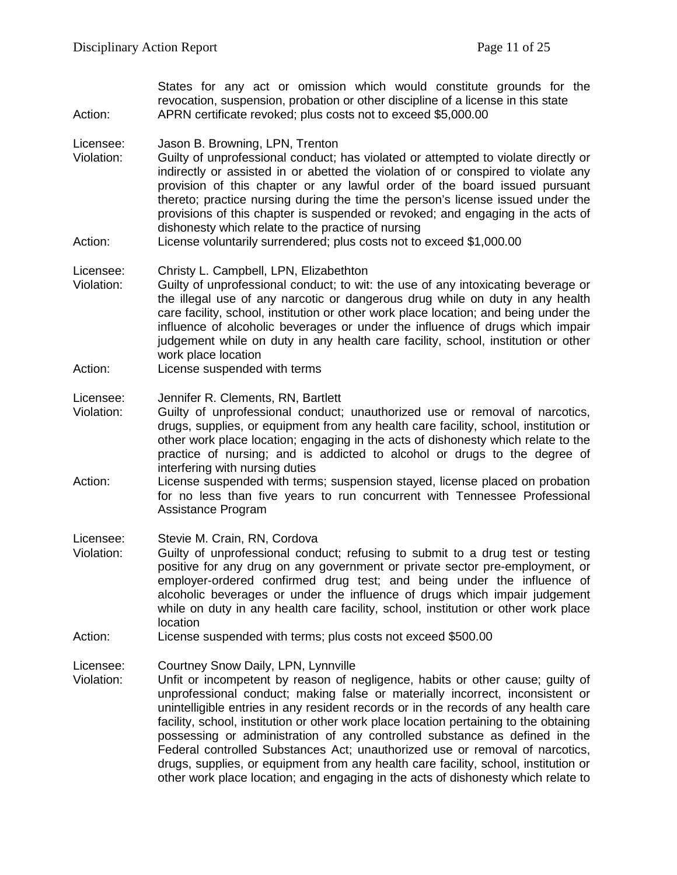States for any act or omission which would constitute grounds for the revocation, suspension, probation or other discipline of a license in this state Action: APRN certificate revoked; plus costs not to exceed \$5,000.00

#### Licensee: Jason B. Browning, LPN, Trenton

- Violation: Guilty of unprofessional conduct; has violated or attempted to violate directly or indirectly or assisted in or abetted the violation of or conspired to violate any provision of this chapter or any lawful order of the board issued pursuant thereto; practice nursing during the time the person's license issued under the provisions of this chapter is suspended or revoked; and engaging in the acts of dishonesty which relate to the practice of nursing
- Action: License voluntarily surrendered; plus costs not to exceed \$1,000.00

## Licensee: Christy L. Campbell, LPN, Elizabethton

- Violation: Guilty of unprofessional conduct; to wit: the use of any intoxicating beverage or the illegal use of any narcotic or dangerous drug while on duty in any health care facility, school, institution or other work place location; and being under the influence of alcoholic beverages or under the influence of drugs which impair judgement while on duty in any health care facility, school, institution or other work place location
- Action: License suspended with terms

#### Licensee: Jennifer R. Clements, RN, Bartlett

- Violation: Guilty of unprofessional conduct; unauthorized use or removal of narcotics, drugs, supplies, or equipment from any health care facility, school, institution or other work place location; engaging in the acts of dishonesty which relate to the practice of nursing; and is addicted to alcohol or drugs to the degree of interfering with nursing duties
- Action: License suspended with terms; suspension stayed, license placed on probation for no less than five years to run concurrent with Tennessee Professional Assistance Program

#### Licensee: Stevie M. Crain, RN, Cordova

- Violation: Guilty of unprofessional conduct; refusing to submit to a drug test or testing positive for any drug on any government or private sector pre-employment, or employer-ordered confirmed drug test; and being under the influence of alcoholic beverages or under the influence of drugs which impair judgement while on duty in any health care facility, school, institution or other work place location
- Action: License suspended with terms; plus costs not exceed \$500.00

## Licensee: Courtney Snow Daily, LPN, Lynnville

Violation: Unfit or incompetent by reason of negligence, habits or other cause; guilty of unprofessional conduct; making false or materially incorrect, inconsistent or unintelligible entries in any resident records or in the records of any health care facility, school, institution or other work place location pertaining to the obtaining possessing or administration of any controlled substance as defined in the Federal controlled Substances Act; unauthorized use or removal of narcotics, drugs, supplies, or equipment from any health care facility, school, institution or other work place location; and engaging in the acts of dishonesty which relate to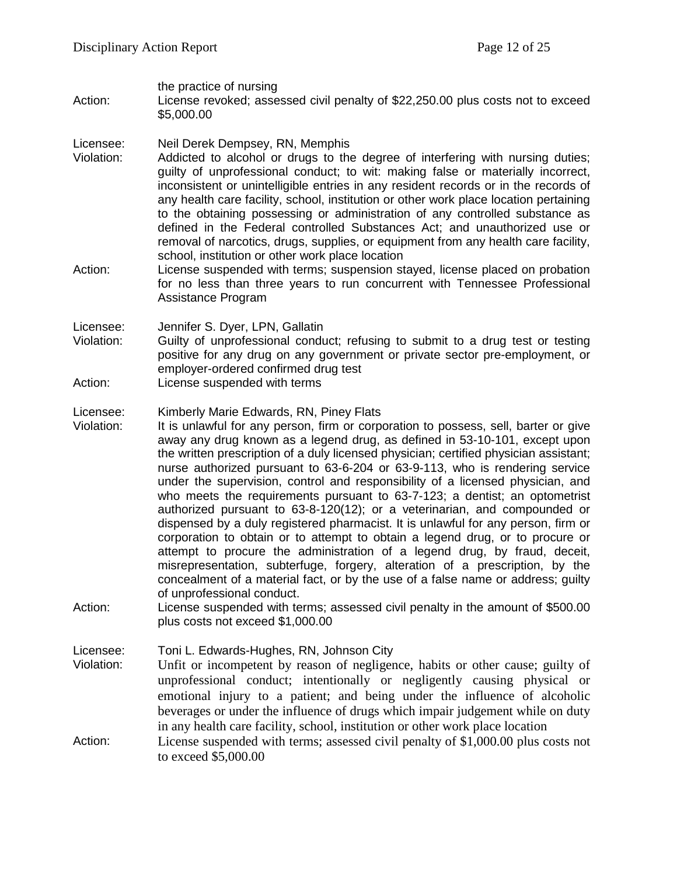the practice of nursing

Action: License revoked; assessed civil penalty of \$22,250.00 plus costs not to exceed \$5,000.00

## Licensee: Neil Derek Dempsey, RN, Memphis

- Violation: Addicted to alcohol or drugs to the degree of interfering with nursing duties; guilty of unprofessional conduct; to wit: making false or materially incorrect, inconsistent or unintelligible entries in any resident records or in the records of any health care facility, school, institution or other work place location pertaining to the obtaining possessing or administration of any controlled substance as defined in the Federal controlled Substances Act; and unauthorized use or removal of narcotics, drugs, supplies, or equipment from any health care facility, school, institution or other work place location
- Action: License suspended with terms; suspension stayed, license placed on probation for no less than three years to run concurrent with Tennessee Professional Assistance Program

Licensee: Jennifer S. Dyer, LPN, Gallatin

- Violation: Guilty of unprofessional conduct; refusing to submit to a drug test or testing positive for any drug on any government or private sector pre-employment, or employer-ordered confirmed drug test
- Action: License suspended with terms

## Licensee: Kimberly Marie Edwards, RN, Piney Flats

- Violation: It is unlawful for any person, firm or corporation to possess, sell, barter or give away any drug known as a legend drug, as defined in 53-10-101, except upon the written prescription of a duly licensed physician; certified physician assistant; nurse authorized pursuant to 63-6-204 or 63-9-113, who is rendering service under the supervision, control and responsibility of a licensed physician, and who meets the requirements pursuant to 63-7-123; a dentist; an optometrist authorized pursuant to 63-8-120(12); or a veterinarian, and compounded or dispensed by a duly registered pharmacist. It is unlawful for any person, firm or corporation to obtain or to attempt to obtain a legend drug, or to procure or attempt to procure the administration of a legend drug, by fraud, deceit, misrepresentation, subterfuge, forgery, alteration of a prescription, by the concealment of a material fact, or by the use of a false name or address; guilty of unprofessional conduct.
- Action: License suspended with terms; assessed civil penalty in the amount of \$500.00 plus costs not exceed \$1,000.00

Licensee: Toni L. Edwards-Hughes, RN, Johnson City

- Violation: Unfit or incompetent by reason of negligence, habits or other cause; guilty of unprofessional conduct; intentionally or negligently causing physical or emotional injury to a patient; and being under the influence of alcoholic beverages or under the influence of drugs which impair judgement while on duty in any health care facility, school, institution or other work place location
- Action: License suspended with terms; assessed civil penalty of \$1,000.00 plus costs not to exceed \$5,000.00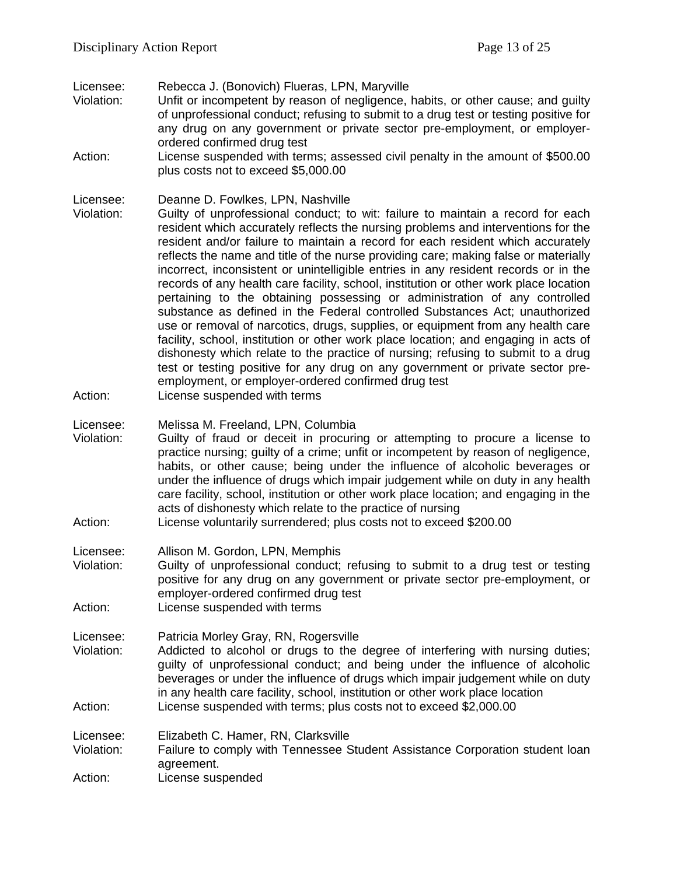Licensee: Rebecca J. (Bonovich) Flueras, LPN, Maryville

- Unfit or incompetent by reason of negligence, habits, or other cause; and guilty of unprofessional conduct; refusing to submit to a drug test or testing positive for any drug on any government or private sector pre-employment, or employerordered confirmed drug test
- Action: License suspended with terms; assessed civil penalty in the amount of \$500.00 plus costs not to exceed \$5,000.00

Licensee: Deanne D. Fowlkes, LPN, Nashville

- Violation: Guilty of unprofessional conduct; to wit: failure to maintain a record for each resident which accurately reflects the nursing problems and interventions for the resident and/or failure to maintain a record for each resident which accurately reflects the name and title of the nurse providing care; making false or materially incorrect, inconsistent or unintelligible entries in any resident records or in the records of any health care facility, school, institution or other work place location pertaining to the obtaining possessing or administration of any controlled substance as defined in the Federal controlled Substances Act; unauthorized use or removal of narcotics, drugs, supplies, or equipment from any health care facility, school, institution or other work place location; and engaging in acts of dishonesty which relate to the practice of nursing; refusing to submit to a drug test or testing positive for any drug on any government or private sector preemployment, or employer-ordered confirmed drug test
- Action: License suspended with terms

Licensee: Melissa M. Freeland, LPN, Columbia

- Violation: Guilty of fraud or deceit in procuring or attempting to procure a license to practice nursing; guilty of a crime; unfit or incompetent by reason of negligence, habits, or other cause; being under the influence of alcoholic beverages or under the influence of drugs which impair judgement while on duty in any health care facility, school, institution or other work place location; and engaging in the acts of dishonesty which relate to the practice of nursing
- Action: License voluntarily surrendered; plus costs not to exceed \$200.00

Licensee: Allison M. Gordon, LPN, Memphis

Violation: Guilty of unprofessional conduct; refusing to submit to a drug test or testing positive for any drug on any government or private sector pre-employment, or employer-ordered confirmed drug test

Action: License suspended with terms

Licensee: Patricia Morley Gray, RN, Rogersville

Violation: Addicted to alcohol or drugs to the degree of interfering with nursing duties; guilty of unprofessional conduct; and being under the influence of alcoholic beverages or under the influence of drugs which impair judgement while on duty in any health care facility, school, institution or other work place location Action: License suspended with terms; plus costs not to exceed \$2,000.00

Licensee: Elizabeth C. Hamer, RN, Clarksville

Violation: Failure to comply with Tennessee Student Assistance Corporation student loan agreement.

Action: License suspended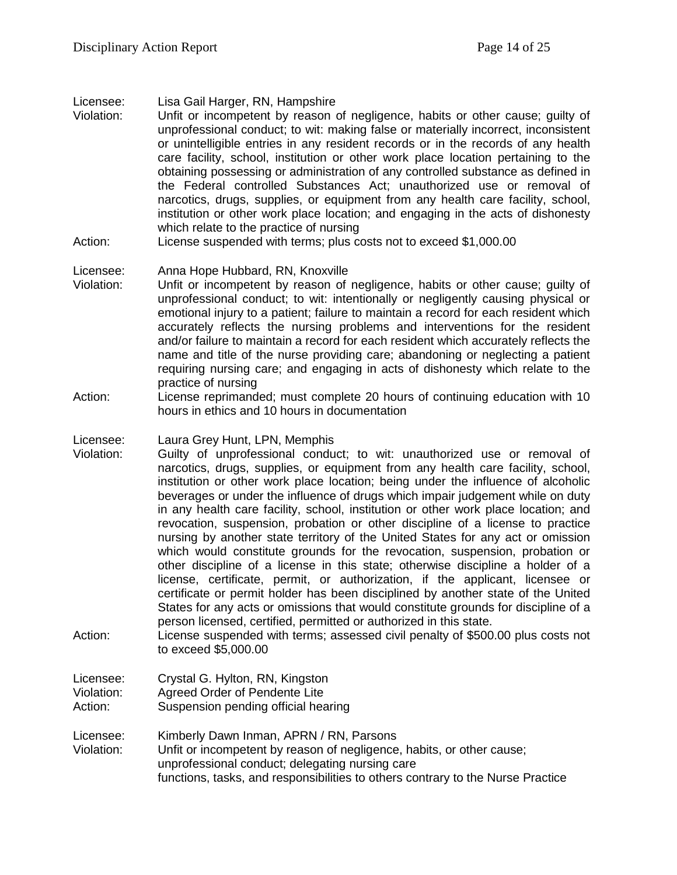Licensee: Lisa Gail Harger, RN, Hampshire

- Violation: Unfit or incompetent by reason of negligence, habits or other cause; guilty of unprofessional conduct; to wit: making false or materially incorrect, inconsistent or unintelligible entries in any resident records or in the records of any health care facility, school, institution or other work place location pertaining to the obtaining possessing or administration of any controlled substance as defined in the Federal controlled Substances Act; unauthorized use or removal of narcotics, drugs, supplies, or equipment from any health care facility, school, institution or other work place location; and engaging in the acts of dishonesty which relate to the practice of nursing
- Action: License suspended with terms; plus costs not to exceed \$1,000.00

# Licensee: Anna Hope Hubbard, RN, Knoxville

- Violation: Unfit or incompetent by reason of negligence, habits or other cause; guilty of unprofessional conduct; to wit: intentionally or negligently causing physical or emotional injury to a patient; failure to maintain a record for each resident which accurately reflects the nursing problems and interventions for the resident and/or failure to maintain a record for each resident which accurately reflects the name and title of the nurse providing care; abandoning or neglecting a patient requiring nursing care; and engaging in acts of dishonesty which relate to the practice of nursing
- Action: License reprimanded; must complete 20 hours of continuing education with 10 hours in ethics and 10 hours in documentation

Licensee: Laura Grey Hunt, LPN, Memphis

- Violation: Guilty of unprofessional conduct; to wit: unauthorized use or removal of narcotics, drugs, supplies, or equipment from any health care facility, school, institution or other work place location; being under the influence of alcoholic beverages or under the influence of drugs which impair judgement while on duty in any health care facility, school, institution or other work place location; and revocation, suspension, probation or other discipline of a license to practice nursing by another state territory of the United States for any act or omission which would constitute grounds for the revocation, suspension, probation or other discipline of a license in this state; otherwise discipline a holder of a license, certificate, permit, or authorization, if the applicant, licensee or certificate or permit holder has been disciplined by another state of the United States for any acts or omissions that would constitute grounds for discipline of a person licensed, certified, permitted or authorized in this state.
- Action: License suspended with terms; assessed civil penalty of \$500.00 plus costs not to exceed \$5,000.00

Licensee: Crystal G. Hylton, RN, Kingston Violation: Agreed Order of Pendente Lite

- Action: Suspension pending official hearing
- Licensee: Kimberly Dawn Inman, APRN / RN, Parsons Violation: Unfit or incompetent by reason of negligence, habits, or other cause; unprofessional conduct; delegating nursing care functions, tasks, and responsibilities to others contrary to the Nurse Practice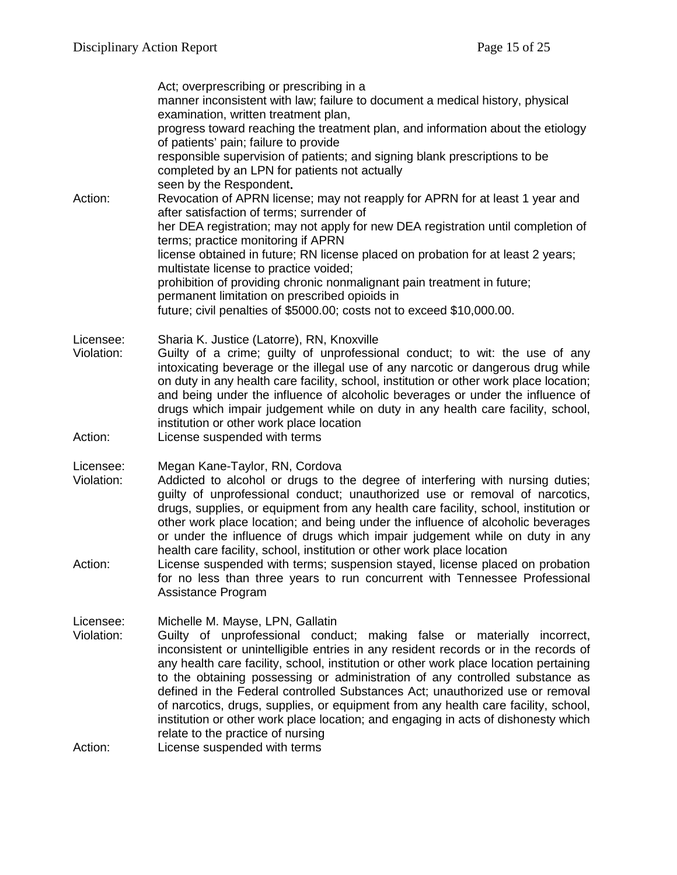|                         | Act; overprescribing or prescribing in a<br>manner inconsistent with law; failure to document a medical history, physical<br>examination, written treatment plan,                                                                                                                                                                                                                                                                                                                                                                                                                                                                                                             |
|-------------------------|-------------------------------------------------------------------------------------------------------------------------------------------------------------------------------------------------------------------------------------------------------------------------------------------------------------------------------------------------------------------------------------------------------------------------------------------------------------------------------------------------------------------------------------------------------------------------------------------------------------------------------------------------------------------------------|
|                         | progress toward reaching the treatment plan, and information about the etiology<br>of patients' pain; failure to provide                                                                                                                                                                                                                                                                                                                                                                                                                                                                                                                                                      |
|                         | responsible supervision of patients; and signing blank prescriptions to be<br>completed by an LPN for patients not actually                                                                                                                                                                                                                                                                                                                                                                                                                                                                                                                                                   |
| Action:                 | seen by the Respondent.<br>Revocation of APRN license; may not reapply for APRN for at least 1 year and<br>after satisfaction of terms; surrender of                                                                                                                                                                                                                                                                                                                                                                                                                                                                                                                          |
|                         | her DEA registration; may not apply for new DEA registration until completion of<br>terms; practice monitoring if APRN                                                                                                                                                                                                                                                                                                                                                                                                                                                                                                                                                        |
|                         | license obtained in future; RN license placed on probation for at least 2 years;<br>multistate license to practice voided;                                                                                                                                                                                                                                                                                                                                                                                                                                                                                                                                                    |
|                         | prohibition of providing chronic nonmalignant pain treatment in future;<br>permanent limitation on prescribed opioids in                                                                                                                                                                                                                                                                                                                                                                                                                                                                                                                                                      |
|                         | future; civil penalties of \$5000.00; costs not to exceed \$10,000.00.                                                                                                                                                                                                                                                                                                                                                                                                                                                                                                                                                                                                        |
| Licensee:<br>Violation: | Sharia K. Justice (Latorre), RN, Knoxville<br>Guilty of a crime; guilty of unprofessional conduct; to wit: the use of any<br>intoxicating beverage or the illegal use of any narcotic or dangerous drug while<br>on duty in any health care facility, school, institution or other work place location;<br>and being under the influence of alcoholic beverages or under the influence of<br>drugs which impair judgement while on duty in any health care facility, school,<br>institution or other work place location                                                                                                                                                      |
| Action:                 | License suspended with terms                                                                                                                                                                                                                                                                                                                                                                                                                                                                                                                                                                                                                                                  |
| Licensee:<br>Violation: | Megan Kane-Taylor, RN, Cordova<br>Addicted to alcohol or drugs to the degree of interfering with nursing duties;<br>guilty of unprofessional conduct; unauthorized use or removal of narcotics,<br>drugs, supplies, or equipment from any health care facility, school, institution or<br>other work place location; and being under the influence of alcoholic beverages<br>or under the influence of drugs which impair judgement while on duty in any<br>health care facility, school, institution or other work place location                                                                                                                                            |
| Action:                 | License suspended with terms; suspension stayed, license placed on probation<br>for no less than three years to run concurrent with Tennessee Professional<br>Assistance Program                                                                                                                                                                                                                                                                                                                                                                                                                                                                                              |
| Licensee:<br>Violation: | Michelle M. Mayse, LPN, Gallatin<br>Guilty of unprofessional conduct; making false or materially incorrect,<br>inconsistent or unintelligible entries in any resident records or in the records of<br>any health care facility, school, institution or other work place location pertaining<br>to the obtaining possessing or administration of any controlled substance as<br>defined in the Federal controlled Substances Act; unauthorized use or removal<br>of narcotics, drugs, supplies, or equipment from any health care facility, school,<br>institution or other work place location; and engaging in acts of dishonesty which<br>relate to the practice of nursing |
| Action:                 | License suspended with terms                                                                                                                                                                                                                                                                                                                                                                                                                                                                                                                                                                                                                                                  |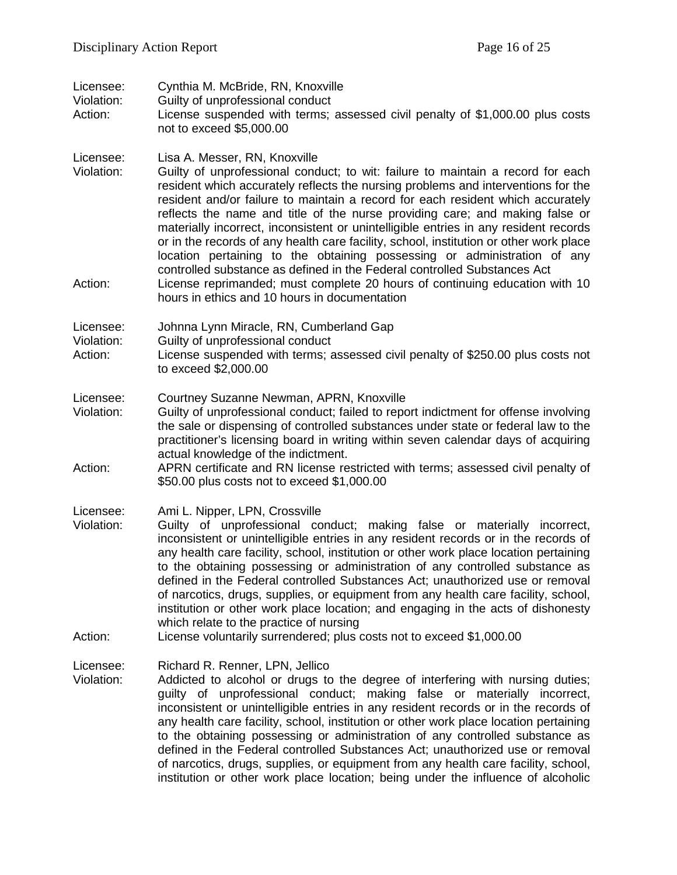| Licensee:<br>Violation:<br>Action: | Cynthia M. McBride, RN, Knoxville<br>Guilty of unprofessional conduct<br>License suspended with terms; assessed civil penalty of \$1,000.00 plus costs<br>not to exceed \$5,000.00                                                                                                                                                                                                                                                                                                                                                                                                                                                                                                                                                                                                                                                                 |
|------------------------------------|----------------------------------------------------------------------------------------------------------------------------------------------------------------------------------------------------------------------------------------------------------------------------------------------------------------------------------------------------------------------------------------------------------------------------------------------------------------------------------------------------------------------------------------------------------------------------------------------------------------------------------------------------------------------------------------------------------------------------------------------------------------------------------------------------------------------------------------------------|
| Licensee:<br>Violation:<br>Action: | Lisa A. Messer, RN, Knoxville<br>Guilty of unprofessional conduct; to wit: failure to maintain a record for each<br>resident which accurately reflects the nursing problems and interventions for the<br>resident and/or failure to maintain a record for each resident which accurately<br>reflects the name and title of the nurse providing care; and making false or<br>materially incorrect, inconsistent or unintelligible entries in any resident records<br>or in the records of any health care facility, school, institution or other work place<br>location pertaining to the obtaining possessing or administration of any<br>controlled substance as defined in the Federal controlled Substances Act<br>License reprimanded; must complete 20 hours of continuing education with 10<br>hours in ethics and 10 hours in documentation |
| Licensee:<br>Violation:<br>Action: | Johnna Lynn Miracle, RN, Cumberland Gap<br>Guilty of unprofessional conduct<br>License suspended with terms; assessed civil penalty of \$250.00 plus costs not<br>to exceed \$2,000.00                                                                                                                                                                                                                                                                                                                                                                                                                                                                                                                                                                                                                                                             |
| Licensee:<br>Violation:<br>Action: | Courtney Suzanne Newman, APRN, Knoxville<br>Guilty of unprofessional conduct; failed to report indictment for offense involving<br>the sale or dispensing of controlled substances under state or federal law to the<br>practitioner's licensing board in writing within seven calendar days of acquiring<br>actual knowledge of the indictment.<br>APRN certificate and RN license restricted with terms; assessed civil penalty of<br>\$50.00 plus costs not to exceed \$1,000.00                                                                                                                                                                                                                                                                                                                                                                |
| Licensee:<br>Violation:<br>Action: | Ami L. Nipper, LPN, Crossville<br>Guilty of unprofessional conduct; making false or materially incorrect,<br>inconsistent or unintelligible entries in any resident records or in the records of<br>any health care facility, school, institution or other work place location pertaining<br>to the obtaining possessing or administration of any controlled substance as<br>defined in the Federal controlled Substances Act; unauthorized use or removal<br>of narcotics, drugs, supplies, or equipment from any health care facility, school,<br>institution or other work place location; and engaging in the acts of dishonesty<br>which relate to the practice of nursing<br>License voluntarily surrendered; plus costs not to exceed \$1,000.00                                                                                            |
| Licensee:<br>Violation:            | Richard R. Renner, LPN, Jellico<br>Addicted to alcohol or drugs to the degree of interfering with nursing duties;<br>guilty of unprofessional conduct; making false or materially incorrect,<br>inconsistent or unintelligible entries in any resident records or in the records of<br>any health care facility, school, institution or other work place location pertaining<br>to the obtaining possessing or administration of any controlled substance as<br>defined in the Federal controlled Substances Act; unauthorized use or removal<br>of narcotics, drugs, supplies, or equipment from any health care facility, school,<br>institution or other work place location; being under the influence of alcoholic                                                                                                                            |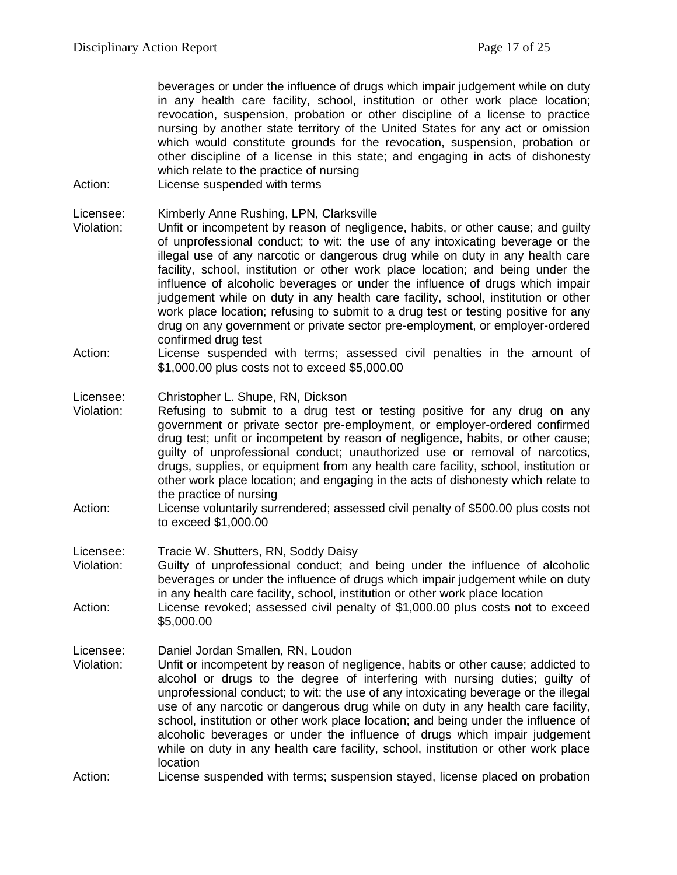beverages or under the influence of drugs which impair judgement while on duty in any health care facility, school, institution or other work place location; revocation, suspension, probation or other discipline of a license to practice nursing by another state territory of the United States for any act or omission which would constitute grounds for the revocation, suspension, probation or other discipline of a license in this state; and engaging in acts of dishonesty which relate to the practice of nursing

Action: License suspended with terms

Licensee: Kimberly Anne Rushing, LPN, Clarksville

- Violation: Unfit or incompetent by reason of negligence, habits, or other cause; and guilty of unprofessional conduct; to wit: the use of any intoxicating beverage or the illegal use of any narcotic or dangerous drug while on duty in any health care facility, school, institution or other work place location; and being under the influence of alcoholic beverages or under the influence of drugs which impair judgement while on duty in any health care facility, school, institution or other work place location; refusing to submit to a drug test or testing positive for any drug on any government or private sector pre-employment, or employer-ordered confirmed drug test
- Action: License suspended with terms; assessed civil penalties in the amount of \$1,000.00 plus costs not to exceed \$5,000.00

## Licensee: Christopher L. Shupe, RN, Dickson

- Violation: Refusing to submit to a drug test or testing positive for any drug on any government or private sector pre-employment, or employer-ordered confirmed drug test; unfit or incompetent by reason of negligence, habits, or other cause; guilty of unprofessional conduct; unauthorized use or removal of narcotics, drugs, supplies, or equipment from any health care facility, school, institution or other work place location; and engaging in the acts of dishonesty which relate to the practice of nursing
- Action: License voluntarily surrendered; assessed civil penalty of \$500.00 plus costs not to exceed \$1,000.00
- Licensee: Tracie W. Shutters, RN, Soddy Daisy
- Violation: Guilty of unprofessional conduct; and being under the influence of alcoholic beverages or under the influence of drugs which impair judgement while on duty in any health care facility, school, institution or other work place location Action: License revoked; assessed civil penalty of \$1,000.00 plus costs not to exceed
- \$5,000.00

#### Licensee: Daniel Jordan Smallen, RN, Loudon

Violation: Unfit or incompetent by reason of negligence, habits or other cause; addicted to alcohol or drugs to the degree of interfering with nursing duties; guilty of unprofessional conduct; to wit: the use of any intoxicating beverage or the illegal use of any narcotic or dangerous drug while on duty in any health care facility, school, institution or other work place location; and being under the influence of alcoholic beverages or under the influence of drugs which impair judgement while on duty in any health care facility, school, institution or other work place location

Action: License suspended with terms; suspension stayed, license placed on probation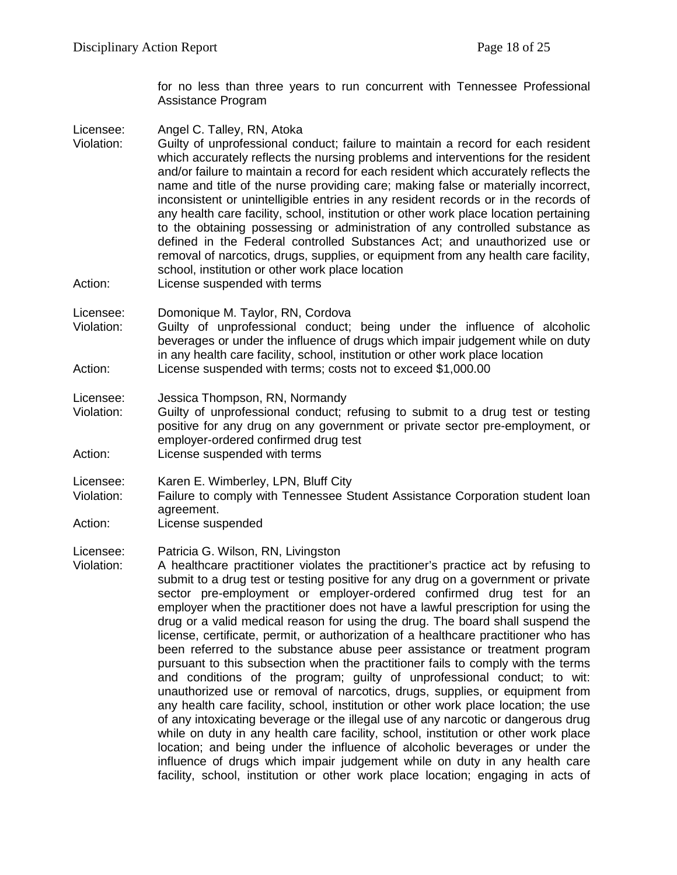for no less than three years to run concurrent with Tennessee Professional Assistance Program

- Licensee: Angel C. Talley, RN, Atoka<br>Violation: Guilty of unprofessional co Guilty of unprofessional conduct; failure to maintain a record for each resident which accurately reflects the nursing problems and interventions for the resident and/or failure to maintain a record for each resident which accurately reflects the name and title of the nurse providing care; making false or materially incorrect, inconsistent or unintelligible entries in any resident records or in the records of any health care facility, school, institution or other work place location pertaining to the obtaining possessing or administration of any controlled substance as defined in the Federal controlled Substances Act; and unauthorized use or removal of narcotics, drugs, supplies, or equipment from any health care facility, school, institution or other work place location
- Action: License suspended with terms
- Licensee: Domonique M. Taylor, RN, Cordova
- Violation: Guilty of unprofessional conduct; being under the influence of alcoholic beverages or under the influence of drugs which impair judgement while on duty in any health care facility, school, institution or other work place location Action: License suspended with terms; costs not to exceed \$1,000.00

Licensee: Jessica Thompson, RN, Normandy

- Violation: Guilty of unprofessional conduct; refusing to submit to a drug test or testing positive for any drug on any government or private sector pre-employment, or employer-ordered confirmed drug test
- Action: License suspended with terms
- Licensee: Karen E. Wimberley, LPN, Bluff City
- Violation: Failure to comply with Tennessee Student Assistance Corporation student loan agreement.
- Action: License suspended

Licensee: Patricia G. Wilson, RN, Livingston

Violation: A healthcare practitioner violates the practitioner's practice act by refusing to submit to a drug test or testing positive for any drug on a government or private sector pre-employment or employer-ordered confirmed drug test for an employer when the practitioner does not have a lawful prescription for using the drug or a valid medical reason for using the drug. The board shall suspend the license, certificate, permit, or authorization of a healthcare practitioner who has been referred to the substance abuse peer assistance or treatment program pursuant to this subsection when the practitioner fails to comply with the terms and conditions of the program; guilty of unprofessional conduct; to wit: unauthorized use or removal of narcotics, drugs, supplies, or equipment from any health care facility, school, institution or other work place location; the use of any intoxicating beverage or the illegal use of any narcotic or dangerous drug while on duty in any health care facility, school, institution or other work place location; and being under the influence of alcoholic beverages or under the influence of drugs which impair judgement while on duty in any health care facility, school, institution or other work place location; engaging in acts of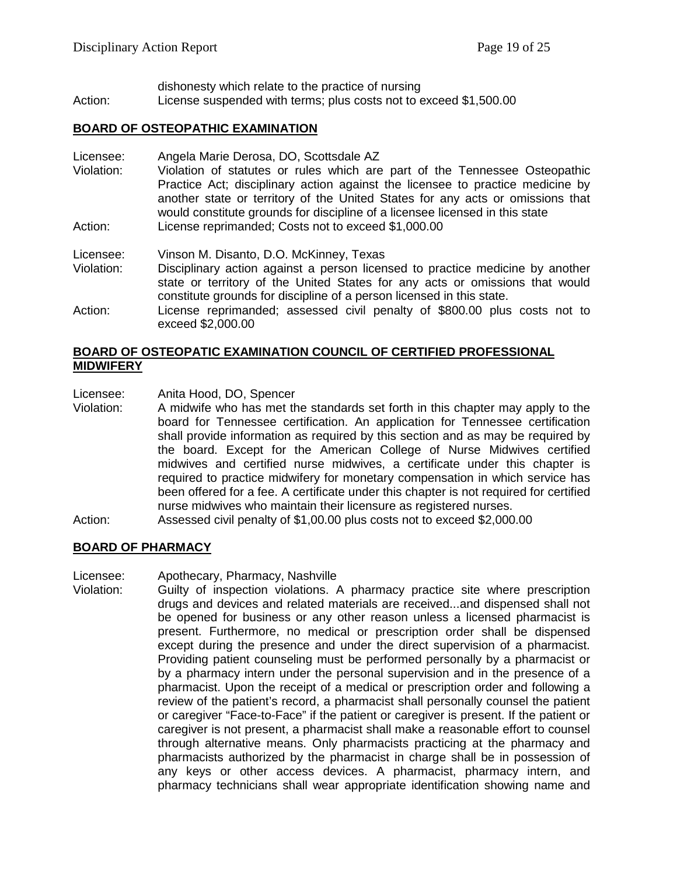dishonesty which relate to the practice of nursing Action: License suspended with terms; plus costs not to exceed \$1,500.00

## **BOARD OF OSTEOPATHIC EXAMINATION**

Licensee: Angela Marie Derosa, DO, Scottsdale AZ

Violation: Violation of statutes or rules which are part of the Tennessee Osteopathic Practice Act; disciplinary action against the licensee to practice medicine by another state or territory of the United States for any acts or omissions that would constitute grounds for discipline of a licensee licensed in this state Action: License reprimanded; Costs not to exceed \$1,000.00

Licensee: Vinson M. Disanto, D.O. McKinney, Texas

- Violation: Disciplinary action against a person licensed to practice medicine by another state or territory of the United States for any acts or omissions that would constitute grounds for discipline of a person licensed in this state.
- Action: License reprimanded; assessed civil penalty of \$800.00 plus costs not to exceed \$2,000.00

## **BOARD OF OSTEOPATIC EXAMINATION COUNCIL OF CERTIFIED PROFESSIONAL MIDWIFERY**

Licensee: Anita Hood, DO, Spencer<br>Violation: A midwife who has met th

- A midwife who has met the standards set forth in this chapter may apply to the board for Tennessee certification. An application for Tennessee certification shall provide information as required by this section and as may be required by the board. Except for the American College of Nurse Midwives certified midwives and certified nurse midwives, a certificate under this chapter is required to practice midwifery for monetary compensation in which service has been offered for a fee. A certificate under this chapter is not required for certified nurse midwives who maintain their licensure as registered nurses.
- Action: Assessed civil penalty of \$1,00.00 plus costs not to exceed \$2,000.00

#### **BOARD OF PHARMACY**

Licensee: Apothecary, Pharmacy, Nashville

Violation: Guilty of inspection violations. A pharmacy practice site where prescription drugs and devices and related materials are received...and dispensed shall not be opened for business or any other reason unless a licensed pharmacist is present. Furthermore, no medical or prescription order shall be dispensed except during the presence and under the direct supervision of a pharmacist. Providing patient counseling must be performed personally by a pharmacist or by a pharmacy intern under the personal supervision and in the presence of a pharmacist. Upon the receipt of a medical or prescription order and following a review of the patient's record, a pharmacist shall personally counsel the patient or caregiver "Face-to-Face" if the patient or caregiver is present. If the patient or caregiver is not present, a pharmacist shall make a reasonable effort to counsel through alternative means. Only pharmacists practicing at the pharmacy and pharmacists authorized by the pharmacist in charge shall be in possession of any keys or other access devices. A pharmacist, pharmacy intern, and pharmacy technicians shall wear appropriate identification showing name and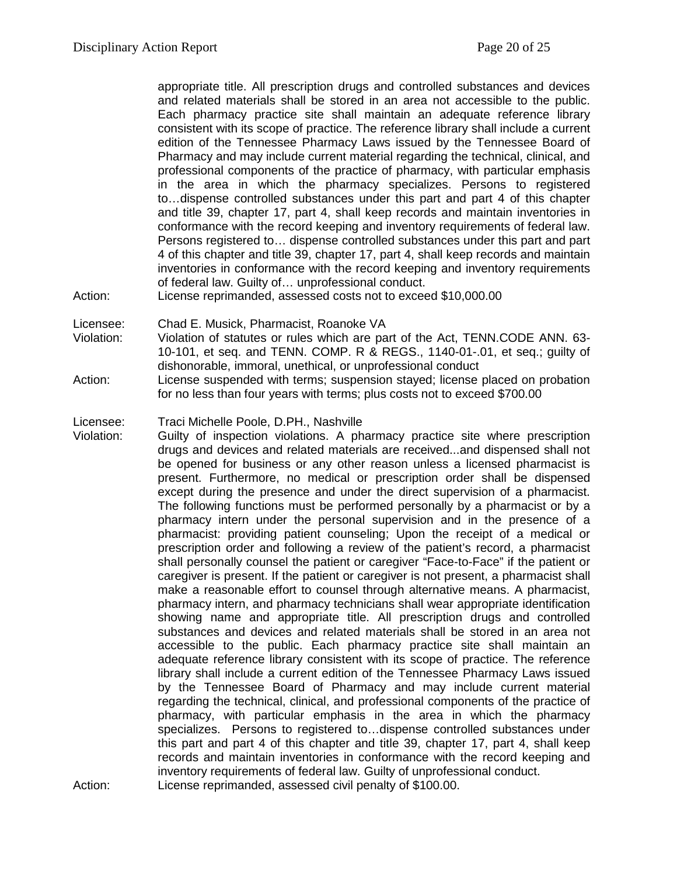appropriate title. All prescription drugs and controlled substances and devices and related materials shall be stored in an area not accessible to the public. Each pharmacy practice site shall maintain an adequate reference library consistent with its scope of practice. The reference library shall include a current edition of the Tennessee Pharmacy Laws issued by the Tennessee Board of Pharmacy and may include current material regarding the technical, clinical, and professional components of the practice of pharmacy, with particular emphasis in the area in which the pharmacy specializes. Persons to registered to…dispense controlled substances under this part and part 4 of this chapter and title 39, chapter 17, part 4, shall keep records and maintain inventories in conformance with the record keeping and inventory requirements of federal law. Persons registered to… dispense controlled substances under this part and part 4 of this chapter and title 39, chapter 17, part 4, shall keep records and maintain inventories in conformance with the record keeping and inventory requirements of federal law. Guilty of… unprofessional conduct.

Action: License reprimanded, assessed costs not to exceed \$10,000.00

Licensee: Chad E. Musick, Pharmacist, Roanoke VA

Violation: Violation of statutes or rules which are part of the Act, TENN.CODE ANN. 63- 10-101, et seq. and TENN. COMP. R & REGS., 1140-01-.01, et seq.; guilty of dishonorable, immoral, unethical, or unprofessional conduct

Action: License suspended with terms; suspension stayed; license placed on probation for no less than four years with terms; plus costs not to exceed \$700.00

Licensee: Traci Michelle Poole, D.PH., Nashville

Violation: Guilty of inspection violations. A pharmacy practice site where prescription drugs and devices and related materials are received...and dispensed shall not be opened for business or any other reason unless a licensed pharmacist is present. Furthermore, no medical or prescription order shall be dispensed except during the presence and under the direct supervision of a pharmacist. The following functions must be performed personally by a pharmacist or by a pharmacy intern under the personal supervision and in the presence of a pharmacist: providing patient counseling; Upon the receipt of a medical or prescription order and following a review of the patient's record, a pharmacist shall personally counsel the patient or caregiver "Face-to-Face" if the patient or caregiver is present. If the patient or caregiver is not present, a pharmacist shall make a reasonable effort to counsel through alternative means. A pharmacist, pharmacy intern, and pharmacy technicians shall wear appropriate identification showing name and appropriate title. All prescription drugs and controlled substances and devices and related materials shall be stored in an area not accessible to the public. Each pharmacy practice site shall maintain an adequate reference library consistent with its scope of practice. The reference library shall include a current edition of the Tennessee Pharmacy Laws issued by the Tennessee Board of Pharmacy and may include current material regarding the technical, clinical, and professional components of the practice of pharmacy, with particular emphasis in the area in which the pharmacy specializes. Persons to registered to…dispense controlled substances under this part and part 4 of this chapter and title 39, chapter 17, part 4, shall keep records and maintain inventories in conformance with the record keeping and inventory requirements of federal law. Guilty of unprofessional conduct. Action: License reprimanded, assessed civil penalty of \$100.00.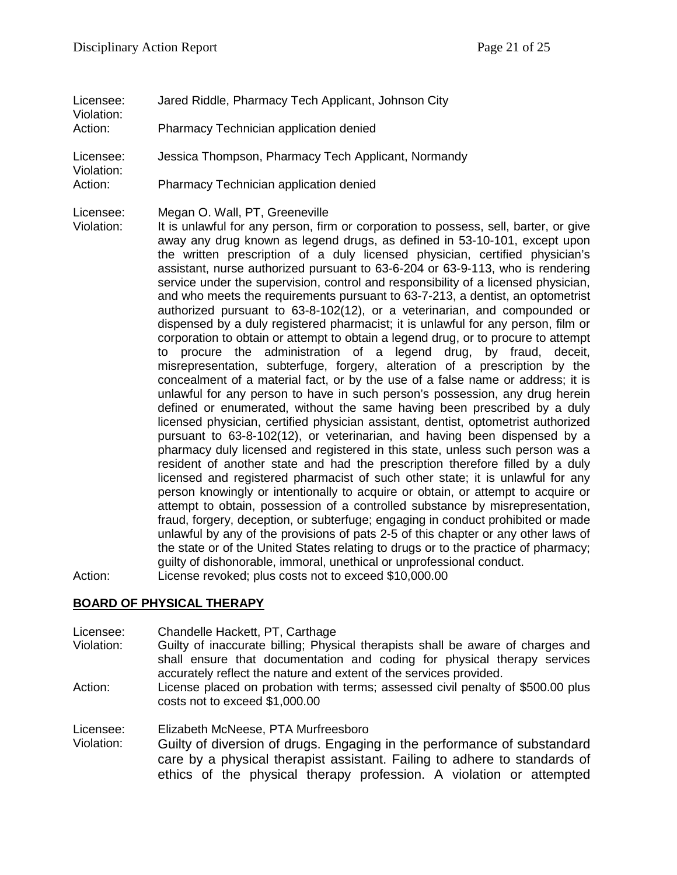- Licensee: Jared Riddle, Pharmacy Tech Applicant, Johnson City Violation:
- Action: Pharmacy Technician application denied
- Licensee: Jessica Thompson, Pharmacy Tech Applicant, Normandy
- Violation:
- Action: Pharmacy Technician application denied
- Licensee: Megan O. Wall, PT, Greeneville

Violation: It is unlawful for any person, firm or corporation to possess, sell, barter, or give away any drug known as legend drugs, as defined in 53-10-101, except upon the written prescription of a duly licensed physician, certified physician's assistant, nurse authorized pursuant to 63-6-204 or 63-9-113, who is rendering service under the supervision, control and responsibility of a licensed physician, and who meets the requirements pursuant to 63-7-213, a dentist, an optometrist authorized pursuant to 63-8-102(12), or a veterinarian, and compounded or dispensed by a duly registered pharmacist; it is unlawful for any person, film or corporation to obtain or attempt to obtain a legend drug, or to procure to attempt to procure the administration of a legend drug, by fraud, deceit, misrepresentation, subterfuge, forgery, alteration of a prescription by the concealment of a material fact, or by the use of a false name or address; it is unlawful for any person to have in such person's possession, any drug herein defined or enumerated, without the same having been prescribed by a duly licensed physician, certified physician assistant, dentist, optometrist authorized pursuant to 63-8-102(12), or veterinarian, and having been dispensed by a pharmacy duly licensed and registered in this state, unless such person was a resident of another state and had the prescription therefore filled by a duly licensed and registered pharmacist of such other state; it is unlawful for any person knowingly or intentionally to acquire or obtain, or attempt to acquire or attempt to obtain, possession of a controlled substance by misrepresentation, fraud, forgery, deception, or subterfuge; engaging in conduct prohibited or made unlawful by any of the provisions of pats 2-5 of this chapter or any other laws of the state or of the United States relating to drugs or to the practice of pharmacy; guilty of dishonorable, immoral, unethical or unprofessional conduct. Action: License revoked; plus costs not to exceed \$10,000.00

**BOARD OF PHYSICAL THERAPY**

- Licensee: Chandelle Hackett, PT, Carthage
- Violation: Guilty of inaccurate billing; Physical therapists shall be aware of charges and shall ensure that documentation and coding for physical therapy services accurately reflect the nature and extent of the services provided.
- Action: License placed on probation with terms; assessed civil penalty of \$500.00 plus costs not to exceed \$1,000.00

Licensee: Elizabeth McNeese, PTA Murfreesboro

Violation: Guilty of diversion of drugs. Engaging in the performance of substandard care by a physical therapist assistant. Failing to adhere to standards of ethics of the physical therapy profession. A violation or attempted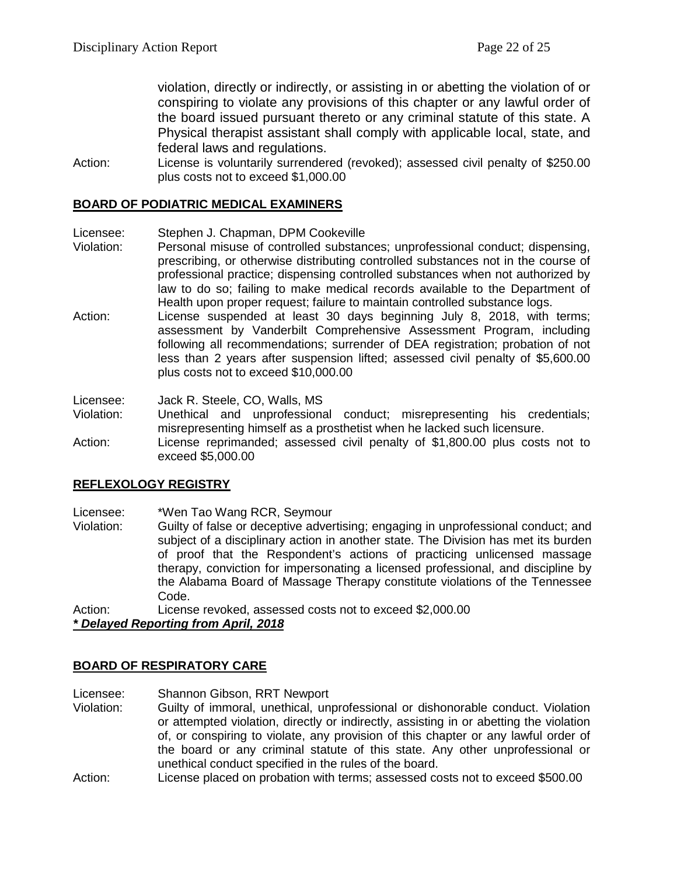violation, directly or indirectly, or assisting in or abetting the violation of or conspiring to violate any provisions of this chapter or any lawful order of the board issued pursuant thereto or any criminal statute of this state. A Physical therapist assistant shall comply with applicable local, state, and federal laws and regulations.

Action: License is voluntarily surrendered (revoked); assessed civil penalty of \$250.00 plus costs not to exceed \$1,000.00

# **BOARD OF PODIATRIC MEDICAL EXAMINERS**

Licensee: Stephen J. Chapman, DPM Cookeville

- Violation: Personal misuse of controlled substances; unprofessional conduct; dispensing, prescribing, or otherwise distributing controlled substances not in the course of professional practice; dispensing controlled substances when not authorized by law to do so; failing to make medical records available to the Department of Health upon proper request; failure to maintain controlled substance logs.
- Action: License suspended at least 30 days beginning July 8, 2018, with terms; assessment by Vanderbilt Comprehensive Assessment Program, including following all recommendations; surrender of DEA registration; probation of not less than 2 years after suspension lifted; assessed civil penalty of \$5,600.00 plus costs not to exceed \$10,000.00

Licensee: Jack R. Steele, CO, Walls, MS

- Violation: Unethical and unprofessional conduct; misrepresenting his credentials; misrepresenting himself as a prosthetist when he lacked such licensure.
- Action: License reprimanded; assessed civil penalty of \$1,800.00 plus costs not to exceed \$5,000.00

# **REFLEXOLOGY REGISTRY**

Licensee: \*Wen Tao Wang RCR, Seymour

Violation: Guilty of false or deceptive advertising; engaging in unprofessional conduct; and subject of a disciplinary action in another state. The Division has met its burden of proof that the Respondent's actions of practicing unlicensed massage therapy, conviction for impersonating a licensed professional, and discipline by the Alabama Board of Massage Therapy constitute violations of the Tennessee Code.

Action: License revoked, assessed costs not to exceed \$2,000.00

*\* Delayed Reporting from April, 2018*

## **BOARD OF RESPIRATORY CARE**

- Licensee: Shannon Gibson, RRT Newport
- Violation: Guilty of immoral, unethical, unprofessional or dishonorable conduct. Violation or attempted violation, directly or indirectly, assisting in or abetting the violation of, or conspiring to violate, any provision of this chapter or any lawful order of the board or any criminal statute of this state. Any other unprofessional or unethical conduct specified in the rules of the board.
- Action: License placed on probation with terms; assessed costs not to exceed \$500.00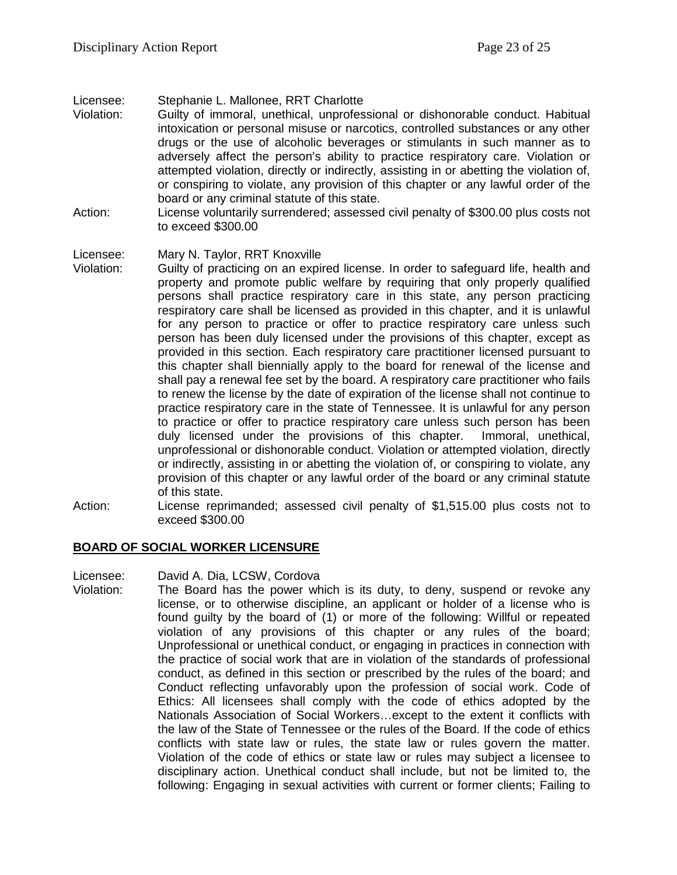Licensee: Stephanie L. Mallonee, RRT Charlotte

- Violation: Guilty of immoral, unethical, unprofessional or dishonorable conduct. Habitual intoxication or personal misuse or narcotics, controlled substances or any other drugs or the use of alcoholic beverages or stimulants in such manner as to adversely affect the person's ability to practice respiratory care. Violation or attempted violation, directly or indirectly, assisting in or abetting the violation of, or conspiring to violate, any provision of this chapter or any lawful order of the board or any criminal statute of this state.
- Action: License voluntarily surrendered; assessed civil penalty of \$300.00 plus costs not to exceed \$300.00

Licensee: Mary N. Taylor, RRT Knoxville

- Violation: Guilty of practicing on an expired license. In order to safeguard life, health and property and promote public welfare by requiring that only properly qualified persons shall practice respiratory care in this state, any person practicing respiratory care shall be licensed as provided in this chapter, and it is unlawful for any person to practice or offer to practice respiratory care unless such person has been duly licensed under the provisions of this chapter, except as provided in this section. Each respiratory care practitioner licensed pursuant to this chapter shall biennially apply to the board for renewal of the license and shall pay a renewal fee set by the board. A respiratory care practitioner who fails to renew the license by the date of expiration of the license shall not continue to practice respiratory care in the state of Tennessee. It is unlawful for any person to practice or offer to practice respiratory care unless such person has been duly licensed under the provisions of this chapter. Immoral, unethical, unprofessional or dishonorable conduct. Violation or attempted violation, directly or indirectly, assisting in or abetting the violation of, or conspiring to violate, any provision of this chapter or any lawful order of the board or any criminal statute of this state.
- Action: License reprimanded; assessed civil penalty of \$1,515.00 plus costs not to exceed \$300.00

## **BOARD OF SOCIAL WORKER LICENSURE**

Licensee: David A. Dia, LCSW, Cordova

Violation: The Board has the power which is its duty, to deny, suspend or revoke any license, or to otherwise discipline, an applicant or holder of a license who is found guilty by the board of (1) or more of the following: Willful or repeated violation of any provisions of this chapter or any rules of the board; Unprofessional or unethical conduct, or engaging in practices in connection with the practice of social work that are in violation of the standards of professional conduct, as defined in this section or prescribed by the rules of the board; and Conduct reflecting unfavorably upon the profession of social work. Code of Ethics: All licensees shall comply with the code of ethics adopted by the Nationals Association of Social Workers…except to the extent it conflicts with the law of the State of Tennessee or the rules of the Board. If the code of ethics conflicts with state law or rules, the state law or rules govern the matter. Violation of the code of ethics or state law or rules may subject a licensee to disciplinary action. Unethical conduct shall include, but not be limited to, the following: Engaging in sexual activities with current or former clients; Failing to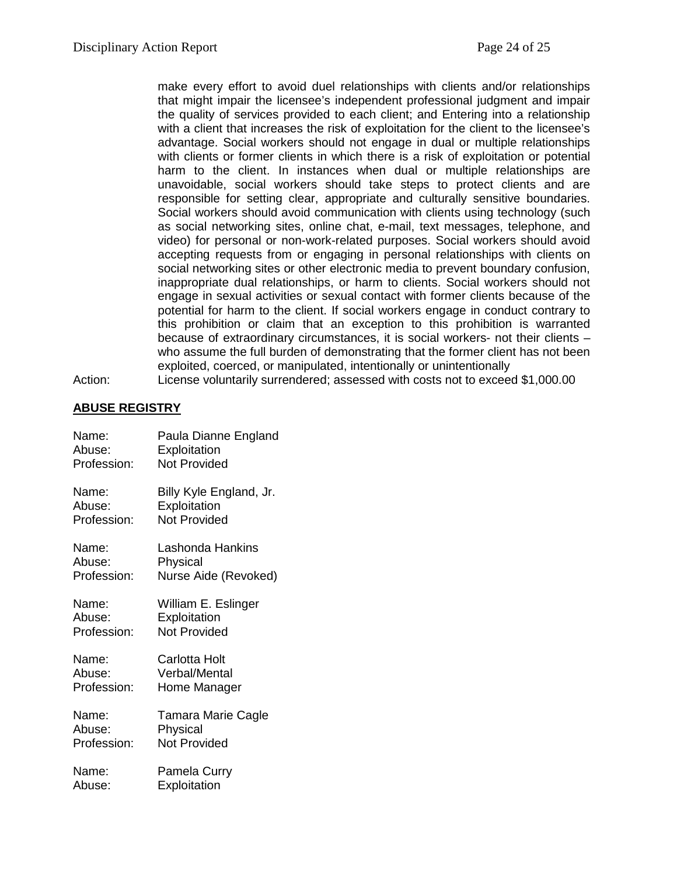make every effort to avoid duel relationships with clients and/or relationships that might impair the licensee's independent professional judgment and impair the quality of services provided to each client; and Entering into a relationship with a client that increases the risk of exploitation for the client to the licensee's advantage. Social workers should not engage in dual or multiple relationships with clients or former clients in which there is a risk of exploitation or potential harm to the client. In instances when dual or multiple relationships are unavoidable, social workers should take steps to protect clients and are responsible for setting clear, appropriate and culturally sensitive boundaries. Social workers should avoid communication with clients using technology (such as social networking sites, online chat, e-mail, text messages, telephone, and video) for personal or non-work-related purposes. Social workers should avoid accepting requests from or engaging in personal relationships with clients on social networking sites or other electronic media to prevent boundary confusion, inappropriate dual relationships, or harm to clients. Social workers should not engage in sexual activities or sexual contact with former clients because of the potential for harm to the client. If social workers engage in conduct contrary to this prohibition or claim that an exception to this prohibition is warranted because of extraordinary circumstances, it is social workers- not their clients – who assume the full burden of demonstrating that the former client has not been exploited, coerced, or manipulated, intentionally or unintentionally Action: License voluntarily surrendered; assessed with costs not to exceed \$1,000.00

**ABUSE REGISTRY**

| Name:       | Paula Dianne England    |
|-------------|-------------------------|
| Abuse:      | Exploitation            |
| Profession: | <b>Not Provided</b>     |
| Name:       | Billy Kyle England, Jr. |
| Abuse:      | Exploitation            |
| Profession: | <b>Not Provided</b>     |
| Name:       | Lashonda Hankins        |
| Abuse:      | Physical                |
| Profession: | Nurse Aide (Revoked)    |
| Name:       | William E. Eslinger     |
| Abuse:      | Exploitation            |
| Profession: | <b>Not Provided</b>     |
| Name:       | Carlotta Holt           |
| Abuse:      | Verbal/Mental           |
| Profession: | Home Manager            |
| Name:       | Tamara Marie Cagle      |
| Abuse:      | Physical                |
| Profession: | <b>Not Provided</b>     |
| Name:       | Pamela Curry            |
| Abuse:      | Exploitation            |